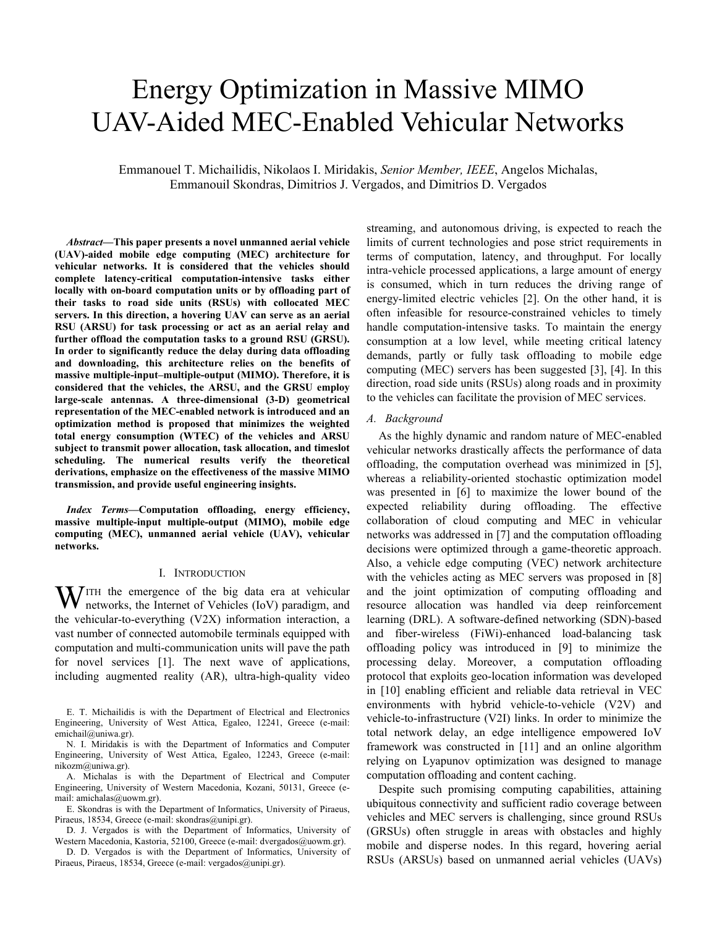# Energy Optimization in Massive MIMO UAV-Aided MEC-Enabled Vehicular Networks

Emmanouel T. Michailidis, Nikolaos I. Miridakis, *Senior Member, IEEE*, Angelos Michalas, Emmanouil Skondras, Dimitrios J. Vergados, and Dimitrios D. Vergados

*Abstract***—This paper presents a novel unmanned aerial vehicle (UAV)-aided mobile edge computing (MEC) architecture for vehicular networks. It is considered that the vehicles should complete latency-critical computation-intensive tasks either locally with on-board computation units or by offloading part of their tasks to road side units (RSUs) with collocated MEC servers. In this direction, a hovering UAV can serve as an aerial RSU (ARSU) for task processing or act as an aerial relay and further offload the computation tasks to a ground RSU (GRSU). In order to significantly reduce the delay during data offloading and downloading, this architecture relies on the benefits of massive multiple-input–multiple-output (MIMO). Therefore, it is considered that the vehicles, the ARSU, and the GRSU employ large-scale antennas. A three-dimensional (3-D) geometrical representation of the MEC-enabled network is introduced and an optimization method is proposed that minimizes the weighted total energy consumption (WTEC) of the vehicles and ARSU subject to transmit power allocation, task allocation, and timeslot scheduling. The numerical results verify the theoretical derivations, emphasize on the effectiveness of the massive MIMO transmission, and provide useful engineering insights.** 

*Index Terms***—Computation offloading, energy efficiency, massive multiple-input multiple-output (MIMO), mobile edge computing (MEC), unmanned aerial vehicle (UAV), vehicular networks.** 

#### I. INTRODUCTION

ITH the emergence of the big data era at vehicular WITH the emergence of the big data era at vehicular networks, the Internet of Vehicles (IoV) paradigm, and the vehicular-to-everything (V2X) information interaction, a vast number of connected automobile terminals equipped with computation and multi-communication units will pave the path for novel services [1]. The next wave of applications, including augmented reality (AR), ultra-high-quality video

E. T. Michailidis is with the Department of Electrical and Electronics Engineering, University of West Attica, Egaleo, 12241, Greece (e-mail: emichail@uniwa.gr).

N. I. Miridakis is with the Department of Informatics and Computer Engineering, University of West Attica, Egaleo, 12243, Greece (e-mail: nikozm@uniwa.gr).

A. Michalas is with the Department of Electrical and Computer Engineering, University of Western Macedonia, Kozani, 50131, Greece (email: amichalas@uowm.gr).

E. Skondras is with the Department of Informatics, University of Piraeus, Piraeus, 18534, Greece (e-mail: skondras@unipi.gr).

D. J. Vergados is with the Department of Informatics, University of Western Macedonia, Kastoria, 52100, Greece (e-mail: dvergados@uowm.gr).

D. D. Vergados is with the Department of Informatics, University of Piraeus, Piraeus, 18534, Greece (e-mail: vergados@unipi.gr).

streaming, and autonomous driving, is expected to reach the limits of current technologies and pose strict requirements in terms of computation, latency, and throughput. For locally intra-vehicle processed applications, a large amount of energy is consumed, which in turn reduces the driving range of energy-limited electric vehicles [2]. On the other hand, it is often infeasible for resource-constrained vehicles to timely handle computation-intensive tasks. To maintain the energy consumption at a low level, while meeting critical latency demands, partly or fully task offloading to mobile edge computing (MEC) servers has been suggested [3], [4]. In this direction, road side units (RSUs) along roads and in proximity to the vehicles can facilitate the provision of MEC services.

#### *A. Background*

As the highly dynamic and random nature of MEC-enabled vehicular networks drastically affects the performance of data offloading, the computation overhead was minimized in [5], whereas a reliability-oriented stochastic optimization model was presented in [6] to maximize the lower bound of the expected reliability during offloading. The effective collaboration of cloud computing and MEC in vehicular networks was addressed in [7] and the computation offloading decisions were optimized through a game-theoretic approach. Also, a vehicle edge computing (VEC) network architecture with the vehicles acting as MEC servers was proposed in [8] and the joint optimization of computing offloading and resource allocation was handled via deep reinforcement learning (DRL). A software-defined networking (SDN)-based and fiber-wireless (FiWi)-enhanced load-balancing task offloading policy was introduced in [9] to minimize the processing delay. Moreover, a computation offloading protocol that exploits geo-location information was developed in [10] enabling efficient and reliable data retrieval in VEC environments with hybrid vehicle-to-vehicle (V2V) and vehicle-to-infrastructure (V2I) links. In order to minimize the total network delay, an edge intelligence empowered IoV framework was constructed in [11] and an online algorithm relying on Lyapunov optimization was designed to manage computation offloading and content caching.

Despite such promising computing capabilities, attaining ubiquitous connectivity and sufficient radio coverage between vehicles and MEC servers is challenging, since ground RSUs (GRSUs) often struggle in areas with obstacles and highly mobile and disperse nodes. In this regard, hovering aerial RSUs (ARSUs) based on unmanned aerial vehicles (UAVs)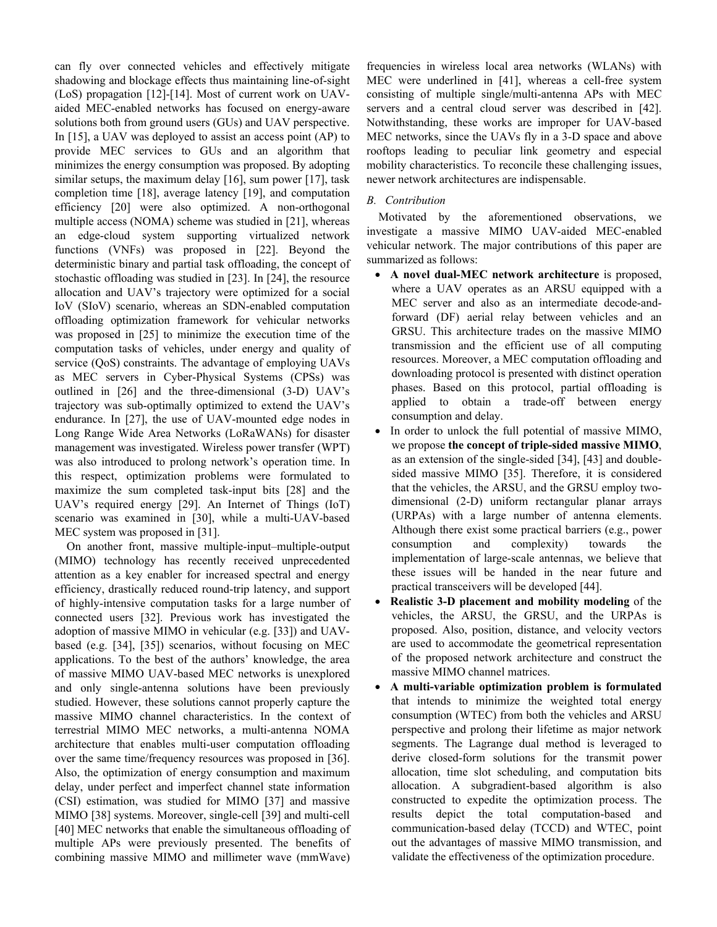can fly over connected vehicles and effectively mitigate shadowing and blockage effects thus maintaining line-of-sight (LoS) propagation [12]-[14]. Most of current work on UAVaided MEC-enabled networks has focused on energy-aware solutions both from ground users (GUs) and UAV perspective. In [15], a UAV was deployed to assist an access point (AP) to provide MEC services to GUs and an algorithm that minimizes the energy consumption was proposed. By adopting similar setups, the maximum delay [16], sum power [17], task completion time [18], average latency [19], and computation efficiency [20] were also optimized. A non-orthogonal multiple access (NOMA) scheme was studied in [21], whereas an edge-cloud system supporting virtualized network functions (VNFs) was proposed in [22]. Beyond the deterministic binary and partial task offloading, the concept of stochastic offloading was studied in [23]. In [24], the resource allocation and UAV's trajectory were optimized for a social IoV (SIoV) scenario, whereas an SDN-enabled computation offloading optimization framework for vehicular networks was proposed in [25] to minimize the execution time of the computation tasks of vehicles, under energy and quality of service (QoS) constraints. The advantage of employing UAVs as MEC servers in Cyber-Physical Systems (CPSs) was outlined in [26] and the three-dimensional (3-D) UAV's trajectory was sub-optimally optimized to extend the UAV's endurance. In [27], the use of UAV-mounted edge nodes in Long Range Wide Area Networks (LoRaWANs) for disaster management was investigated. Wireless power transfer (WPT) was also introduced to prolong network's operation time. In this respect, optimization problems were formulated to maximize the sum completed task-input bits [28] and the UAV's required energy [29]. An Internet of Things (IoT) scenario was examined in [30], while a multi-UAV-based MEC system was proposed in [31].

On another front, massive multiple-input–multiple-output (MIMO) technology has recently received unprecedented attention as a key enabler for increased spectral and energy efficiency, drastically reduced round-trip latency, and support of highly-intensive computation tasks for a large number of connected users [32]. Previous work has investigated the adoption of massive MIMO in vehicular (e.g. [33]) and UAVbased (e.g. [34], [35]) scenarios, without focusing on MEC applications. To the best of the authors' knowledge, the area of massive MIMO UAV-based MEC networks is unexplored and only single-antenna solutions have been previously studied. However, these solutions cannot properly capture the massive MIMO channel characteristics. In the context of terrestrial MIMO MEC networks, a multi-antenna NOMA architecture that enables multi-user computation offloading over the same time/frequency resources was proposed in [36]. Also, the optimization of energy consumption and maximum delay, under perfect and imperfect channel state information (CSI) estimation, was studied for MIMO [37] and massive MIMO [38] systems. Moreover, single-cell [39] and multi-cell [40] MEC networks that enable the simultaneous offloading of multiple APs were previously presented. The benefits of combining massive MIMO and millimeter wave (mmWave) frequencies in wireless local area networks (WLANs) with MEC were underlined in [41], whereas a cell-free system consisting of multiple single/multi-antenna APs with MEC servers and a central cloud server was described in [42]. Notwithstanding, these works are improper for UAV-based MEC networks, since the UAVs fly in a 3-D space and above rooftops leading to peculiar link geometry and especial mobility characteristics. To reconcile these challenging issues, newer network architectures are indispensable.

## *B. Contribution*

Motivated by the aforementioned observations, we investigate a massive MIMO UAV-aided MEC-enabled vehicular network. The major contributions of this paper are summarized as follows:

- **A novel dual-MEC network architecture** is proposed, where a UAV operates as an ARSU equipped with a MEC server and also as an intermediate decode-andforward (DF) aerial relay between vehicles and an GRSU. This architecture trades on the massive MIMO transmission and the efficient use of all computing resources. Moreover, a MEC computation offloading and downloading protocol is presented with distinct operation phases. Based on this protocol, partial offloading is applied to obtain a trade-off between energy consumption and delay.
- In order to unlock the full potential of massive MIMO, we propose **the concept of triple-sided massive MIMO**, as an extension of the single-sided [34], [43] and doublesided massive MIMO [35]. Therefore, it is considered that the vehicles, the ARSU, and the GRSU employ twodimensional (2-D) uniform rectangular planar arrays (URPAs) with a large number of antenna elements. Although there exist some practical barriers (e.g., power consumption and complexity) towards the implementation of large-scale antennas, we believe that these issues will be handed in the near future and practical transceivers will be developed [44].
- **Realistic 3-D placement and mobility modeling** of the vehicles, the ARSU, the GRSU, and the URPAs is proposed. Also, position, distance, and velocity vectors are used to accommodate the geometrical representation of the proposed network architecture and construct the massive MIMO channel matrices.
- **A multi-variable optimization problem is formulated** that intends to minimize the weighted total energy consumption (WTEC) from both the vehicles and ARSU perspective and prolong their lifetime as major network segments. The Lagrange dual method is leveraged to derive closed-form solutions for the transmit power allocation, time slot scheduling, and computation bits allocation. A subgradient-based algorithm is also constructed to expedite the optimization process. The results depict the total computation-based and communication-based delay (TCCD) and WTEC, point out the advantages of massive MIMO transmission, and validate the effectiveness of the optimization procedure.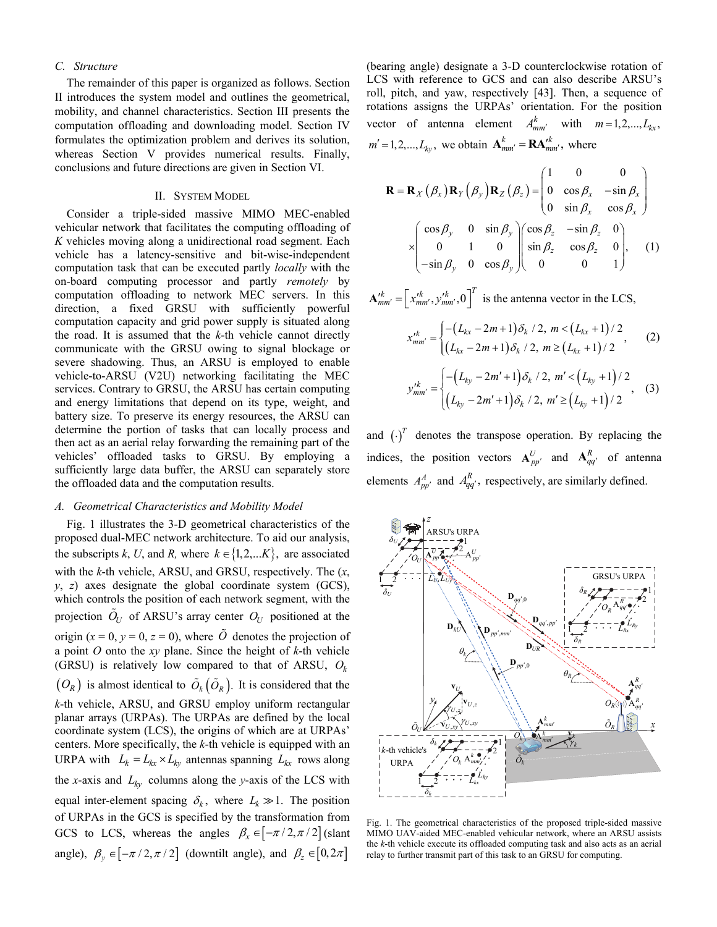### *C. Structure*

The remainder of this paper is organized as follows. Section II introduces the system model and outlines the geometrical, mobility, and channel characteristics. Section III presents the computation offloading and downloading model. Section IV formulates the optimization problem and derives its solution, whereas Section V provides numerical results. Finally, conclusions and future directions are given in Section VI.

#### II. SYSTEM MODEL

Consider a triple-sided massive MIMO MEC-enabled vehicular network that facilitates the computing offloading of *K* vehicles moving along a unidirectional road segment. Each vehicle has a latency-sensitive and bit-wise-independent computation task that can be executed partly *locally* with the on-board computing processor and partly *remotely* by computation offloading to network MEC servers. In this direction, a fixed GRSU with sufficiently powerful computation capacity and grid power supply is situated along the road. It is assumed that the *k*-th vehicle cannot directly communicate with the GRSU owing to signal blockage or severe shadowing. Thus, an ARSU is employed to enable vehicle-to-ARSU (V2U) networking facilitating the MEC services. Contrary to GRSU, the ARSU has certain computing and energy limitations that depend on its type, weight, and battery size. To preserve its energy resources, the ARSU can determine the portion of tasks that can locally process and then act as an aerial relay forwarding the remaining part of the vehicles' offloaded tasks to GRSU. By employing a sufficiently large data buffer, the ARSU can separately store the offloaded data and the computation results.

#### *A. Geometrical Characteristics and Mobility Model*

Fig. 1 illustrates the 3-D geometrical characteristics of the proposed dual-MEC network architecture. To aid our analysis, the subscripts *k*, *U*, and *R*, where  $k \in \{1, 2, \dots K\}$ , are associated with the *k*-th vehicle, ARSU, and GRSU, respectively. The (*x*, *y*, *z*) axes designate the global coordinate system (GCS), which controls the position of each network segment, with the projection  $\tilde{O}_U$  of ARSU's array center  $O_U$  positioned at the origin  $(x = 0, y = 0, z = 0)$ , where  $\tilde{O}$  denotes the projection of a point *O* onto the *xy* plane. Since the height of *k*-th vehicle (GRSU) is relatively low compared to that of ARSU, *Ok*  $(O_R)$  is almost identical to  $\tilde{O}_k(\tilde{O}_R)$ . It is considered that the *k*-th vehicle, ARSU, and GRSU employ uniform rectangular planar arrays (URPAs). The URPAs are defined by the local coordinate system (LCS), the origins of which are at URPAs' centers. More specifically, the *k*-th vehicle is equipped with an URPA with  $L_k = L_{kx} \times L_{ky}$  antennas spanning  $L_{kx}$  rows along the *x*-axis and  $L_{kv}$  columns along the *y*-axis of the LCS with equal inter-element spacing  $\delta_k$ , where  $L_k \gg 1$ . The position of URPAs in the GCS is specified by the transformation from GCS to LCS, whereas the angles  $\beta_x \in [-\pi/2, \pi/2]$  (slant angle),  $\beta_y \in [-\pi/2, \pi/2]$  (downtilt angle), and  $\beta_z \in [0, 2\pi]$ 

(bearing angle) designate a 3-D counterclockwise rotation of LCS with reference to GCS and can also describe ARSU's roll, pitch, and yaw, respectively [43]. Then, a sequence of rotations assigns the URPAs' orientation. For the position vector of antenna element  $A_{mm'}^k$  with  $m=1,2,..., L_{kx}$ ,  $m' = 1, 2, \dots, L_{ky}$ , we obtain  $\mathbf{A}_{mm'}^k = \mathbf{R} \mathbf{A}_{mm'}^{k'}$ , where

$$
\mathbf{R} = \mathbf{R}_{X} (\beta_{x}) \mathbf{R}_{Y} (\beta_{y}) \mathbf{R}_{Z} (\beta_{z}) = \begin{pmatrix} 1 & 0 & 0 \\ 0 & \cos \beta_{x} & -\sin \beta_{x} \\ 0 & \sin \beta_{x} & \cos \beta_{x} \end{pmatrix}
$$

$$
\times \begin{pmatrix} \cos \beta_{y} & 0 & \sin \beta_{y} \\ 0 & 1 & 0 \\ -\sin \beta_{y} & 0 & \cos \beta_{y} \end{pmatrix} \begin{pmatrix} \cos \beta_{z} & -\sin \beta_{z} & 0 \\ \sin \beta_{z} & \cos \beta_{z} & 0 \\ 0 & 0 & 1 \end{pmatrix}, \quad (1)
$$

 $\mathbf{A}_{mm'}^{k} = \left[ x_{mm'}^{k}, y_{mm'}^{k}, 0 \right]^T$  is the antenna vector in the LCS,

$$
x_{mm'}^{k} = \begin{cases} -(L_{kx} - 2m + 1)\delta_k / 2, \ m < (L_{kx} + 1) / 2 \\ (L_{kx} - 2m + 1)\delta_k / 2, \ m \ge (L_{kx} + 1) / 2 \end{cases}
$$
 (2)  

$$
y_{mm'}^{k} = \begin{cases} -(L_{ky} - 2m' + 1)\delta_k / 2, \ m' < (L_{ky} + 1) / 2 \\ (L_{ky} - 2m' + 1)\delta_k / 2, \ m' \ge (L_{ky} + 1) / 2 \end{cases}
$$
 (3)

and  $\left(\cdot\right)^{T}$  denotes the transpose operation. By replacing the indices, the position vectors  $A_{pp'}^U$  and  $A_{qq'}^R$  of antenna elements  $A_{pp'}^A$  and  $A_{qq'}^R$ , respectively, are similarly defined.



Fig. 1. The geometrical characteristics of the proposed triple-sided massive MIMO UAV-aided MEC-enabled vehicular network, where an ARSU assists the *k*-th vehicle execute its offloaded computing task and also acts as an aerial relay to further transmit part of this task to an GRSU for computing.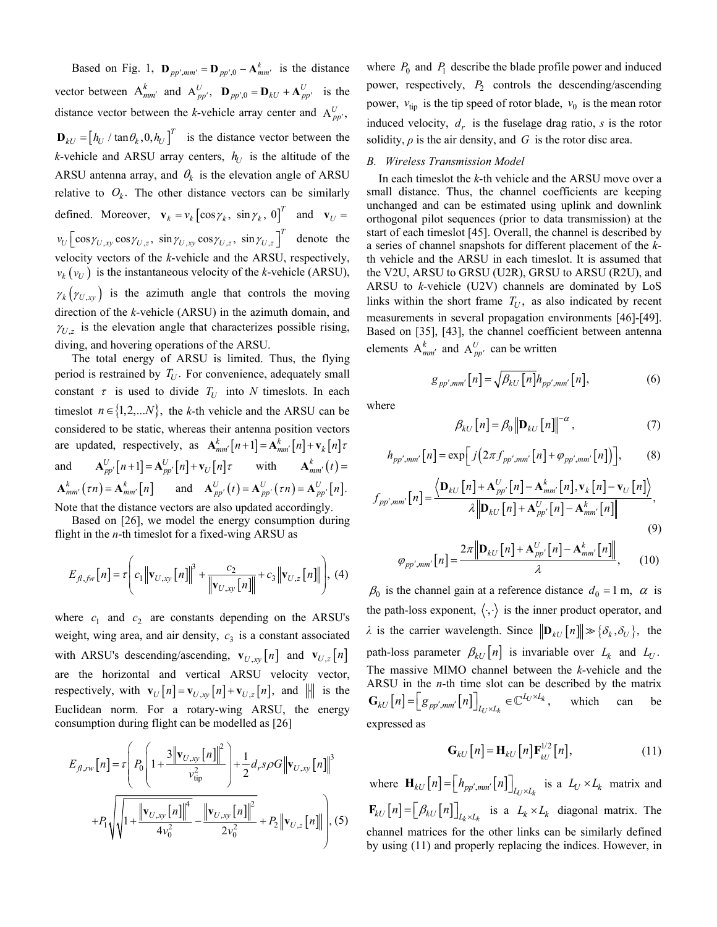Based on Fig. 1,  $\mathbf{D}_{pp',mm'} = \mathbf{D}_{pp',0} - \mathbf{A}_{mm'}^k$  is the distance vector between  $A_{mm'}^k$  and  $A_{pp'}^U$ ,  $D_{pp',0} = D_{kU} + A_{pp'}^U$  is the distance vector between the *k*-vehicle array center and  $A_{pp}^U$ ,  $\mathbf{D}_{kU} = \left[ h_U / \tan \theta_k, 0, h_U \right]^T$  is the distance vector between the *k*-vehicle and ARSU array centers,  $h_U$  is the altitude of the ARSU antenna array, and  $\theta_k$  is the elevation angle of ARSU relative to  $O_k$ . The other distance vectors can be similarly defined. Moreover,  $\mathbf{v}_k = v_k [\cos \gamma_k, \sin \gamma_k, 0]^T$  and  $\mathbf{v}_U =$  $v_U \left[ \cos \gamma_{U,xy} \cos \gamma_{U,z}, \sin \gamma_{U,xy} \cos \gamma_{U,z}, \sin \gamma_{U,z} \right]^T$  denote the velocity vectors of the *k*-vehicle and the ARSU, respectively,  $v_k(v_U)$  is the instantaneous velocity of the *k*-vehicle (ARSU),  $\gamma_k(\gamma_{U,xy})$  is the azimuth angle that controls the moving direction of the *k*-vehicle (ARSU) in the azimuth domain, and  $\gamma_{U,z}$  is the elevation angle that characterizes possible rising, diving, and hovering operations of the ARSU.

The total energy of ARSU is limited. Thus, the flying period is restrained by  $T_{U}$ . For convenience, adequately small constant  $\tau$  is used to divide  $T_U$  into *N* timeslots. In each timeslot  $n \in \{1, 2, \ldots N\}$ , the *k*-th vehicle and the ARSU can be considered to be static, whereas their antenna position vectors are updated, respectively, as  $\mathbf{A}_{mm'}^k[n+1] = \mathbf{A}_{mm'}^k[n] + \mathbf{v}_k[n]\tau$ and  $\mathbf{A}_{pp'}^U[n+1] = \mathbf{A}_{pp'}^U[n] + \mathbf{v}_U[n]\tau$  with  $\mathbf{A}_{mm'}^k(t) =$  $A_{mm'}^k(\tau n) = A_{mm'}^k[n]$  and  $A_{pp'}^U(t) = A_{pp'}^U(\tau n) = A_{pp'}^U[n].$ Note that the distance vectors are also updated accordingly.

Based on [26], we model the energy consumption during flight in the *n*-th timeslot for a fixed-wing ARSU as

$$
E_{f1,fw}[n] = \tau \left( c_1 \left\| \mathbf{v}_{U,xy}[n] \right\|^3 + \frac{c_2}{\left\| \mathbf{v}_{U,xy}[n] \right\|} + c_3 \left\| \mathbf{v}_{U,z}[n] \right\| \right), (4)
$$

where  $c_1$  and  $c_2$  are constants depending on the ARSU's weight, wing area, and air density,  $c_3$  is a constant associated with ARSU's descending/ascending,  $\mathbf{v}_{U,xy}[n]$  and  $\mathbf{v}_{U,z}[n]$ are the horizontal and vertical ARSU velocity vector, respectively, with  $\mathbf{v}_U[n] = \mathbf{v}_{U,x_V}[n] + \mathbf{v}_{U,z}[n]$ , and  $\|\cdot\|$  is the Euclidean norm. For a rotary-wing ARSU, the energy consumption during flight can be modelled as [26]

$$
E_{f l, r w} [n] = \tau \left( P_0 \left( 1 + \frac{3 \left\| \mathbf{v}_{U, xy} [n] \right\|^2}{v_{\text{tip}}^2} \right) + \frac{1}{2} d_r s \rho G \left\| \mathbf{v}_{U, xy} [n] \right\|^3 \right)
$$

$$
+ P_1 \sqrt{\sqrt{1 + \frac{\left\| \mathbf{v}_{U, xy} [n] \right\|^4}{4v_0^2} - \frac{\left\| \mathbf{v}_{U, xy} [n] \right\|^2}{2v_0^2}} + P_2 \left\| \mathbf{v}_{U, z} [n] \right\|} \right), (5)
$$

where  $P_0$  and  $P_1$  describe the blade profile power and induced power, respectively, *P*<sub>2</sub> controls the descending/ascending power,  $v_{\text{tip}}$  is the tip speed of rotor blade,  $v_0$  is the mean rotor induced velocity,  $d_r$  is the fuselage drag ratio, *s* is the rotor solidity,  $\rho$  is the air density, and  $G$  is the rotor disc area.

### *B. Wireless Transmission Model*

In each timeslot the *k*-th vehicle and the ARSU move over a small distance. Thus, the channel coefficients are keeping unchanged and can be estimated using uplink and downlink orthogonal pilot sequences (prior to data transmission) at the start of each timeslot [45]. Overall, the channel is described by a series of channel snapshots for different placement of the *k*th vehicle and the ARSU in each timeslot. It is assumed that the V2U, ARSU to GRSU (U2R), GRSU to ARSU (R2U), and ARSU to *k*-vehicle (U2V) channels are dominated by LoS links within the short frame  $T_U$ , as also indicated by recent measurements in several propagation environments [46]-[49]. Based on [35], [43], the channel coefficient between antenna elements  $A_{mm'}^k$  and  $A_{pp'}^U$  can be written

$$
g_{pp',mm'}[n] = \sqrt{\beta_{kU}[n]} h_{pp',mm'}[n], \qquad (6)
$$

where

$$
\beta_{kU}\left[n\right] = \beta_0 \left\| \mathbf{D}_{kU}\left[n\right] \right\|^{-\alpha},\tag{7}
$$

$$
h_{pp',mm'}[n] = \exp\left[j\left(2\pi f_{pp',mm'}[n] + \varphi_{pp',mm'}[n]\right)\right],\tag{8}
$$

$$
f_{pp',mm'}[n] = \frac{\langle \mathbf{D}_{kU}[n] + \mathbf{A}_{pp'}^{U}[n] - \mathbf{A}_{mm'}^{k}[n], \mathbf{v}_{k}[n] - \mathbf{v}_{U}[n] \rangle}{\lambda \|\mathbf{D}_{kU}[n] + \mathbf{A}_{pp'}^{U}[n] - \mathbf{A}_{mm'}^{k}[n] \|},\tag{9}
$$

$$
\varphi_{pp',mm'}[n] = \frac{2\pi \left\| \mathbf{D}_{kU}\left[n\right] + \mathbf{A}_{pp'}^{U}\left[n\right] - \mathbf{A}_{mm'}^{k}\left[n\right] \right\|}{\lambda},\qquad(10)
$$

 $\beta_0$  is the channel gain at a reference distance  $d_0 = 1$  m,  $\alpha$  is the path-loss exponent,  $\langle \cdot, \cdot \rangle$  is the inner product operator, and *λ* is the carrier wavelength. Since  $||\mathbf{D}_{kU}[n]|| \gg \{\delta_k, \delta_U\}$ , the path-loss parameter  $\beta_{kU}[n]$  is invariable over  $L_k$  and  $L_U$ . The massive MIMO channel between the *k*-vehicle and the ARSU in the *n*-th time slot can be described by the matrix  $[n] = \left[g_{pp',mm'}[n]\right]_{L_V \times L_k} \in \mathbb{C}^{L_V \times L_k},$  $\mathbf{G}_{kU}\left[n\right] = \left[g_{pp',mm'}\left[n\right]\right]_{L_l \times L_k} \in \mathbb{C}^{L_l \times L_k}$ , which can be expressed as

$$
\mathbf{G}_{kU}\left[n\right] = \mathbf{H}_{kU}\left[n\right]\mathbf{F}_{kU}^{1/2}\left[n\right],\tag{11}
$$

where  $\mathbf{H}_{kU}[n] = \left[ h_{pp',mm'}[n] \right]_{L_V \times L_k}$  is a  $L_V \times L_k$  matrix and  $\mathbf{F}_{kU}[n] = \left[ \beta_{kU}[n] \right]_{L_k \times L_k}$  is a  $L_k \times L_k$  diagonal matrix. The channel matrices for the other links can be similarly defined by using (11) and properly replacing the indices. However, in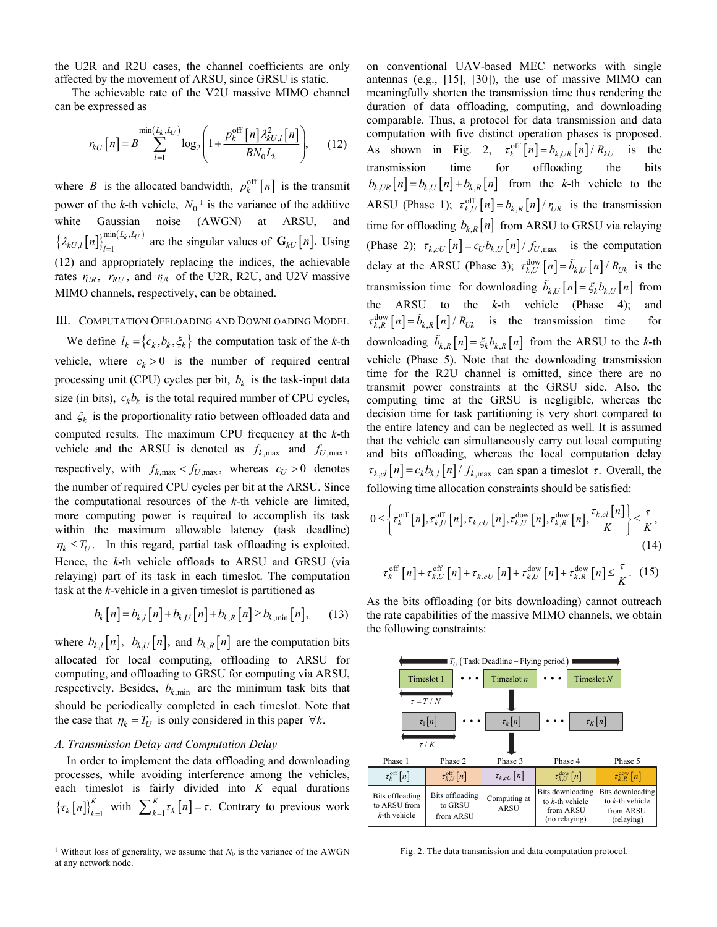the U2R and R2U cases, the channel coefficients are only affected by the movement of ARSU, since GRSU is static.

The achievable rate of the V2U massive MIMO channel can be expressed as

$$
r_{kU}\left[n\right] = B \sum_{l=1}^{\min\{L_k, L_U\}} \log_2\left(1 + \frac{p_k^{\text{off}}\left[n\right] \lambda_{kU,l}^2\left[n\right]}{BN_0L_k}\right),\tag{12}
$$

where *B* is the allocated bandwidth,  $p_k^{\text{off}}[n]$  is the transmit power of the *k*-th vehicle,  $N_0^{-1}$  is the variance of the additive white Gaussian noise (AWGN) at ARSU, and  $\left\{\lambda_{kU,l}\left[n\right]\right\}_{l=1}^{\min\left(L_{k},L_{U}\right)}$  $\lambda_{kU,l} [n]_{l=1}^{\text{num}(L_k, L_l)}$  are the singular values of  $\mathbf{G}_{kU}[n]$ . Using (12) and appropriately replacing the indices, the achievable rates  $r_{UR}$ ,  $r_{RU}$ , and  $r_{Uk}$  of the U2R, R2U, and U2V massive MIMO channels, respectively, can be obtained.

## III. COMPUTATION OFFLOADING AND DOWNLOADING MODEL

We define  $l_k = \{c_k, b_k, \xi_k\}$  the computation task of the *k*-th vehicle, where  $c_k > 0$  is the number of required central processing unit (CPU) cycles per bit,  $b_k$  is the task-input data size (in bits),  $c_k b_k$  is the total required number of CPU cycles, and  $\xi_k$  is the proportionality ratio between offloaded data and computed results. The maximum CPU frequency at the *k*-th vehicle and the ARSU is denoted as  $f_{k,\text{max}}$  and  $f_{U,\text{max}}$ , respectively, with  $f_{k,\text{max}} < f_{U,\text{max}}$ , whereas  $c_U > 0$  denotes the number of required CPU cycles per bit at the ARSU. Since the computational resources of the *k*-th vehicle are limited, more computing power is required to accomplish its task within the maximum allowable latency (task deadline)  $\eta_k \leq T_U$ . In this regard, partial task offloading is exploited. Hence, the *k*-th vehicle offloads to ARSU and GRSU (via relaying) part of its task in each timeslot. The computation task at the *k*-vehicle in a given timeslot is partitioned as

$$
b_k[n] = b_{k,l}[n] + b_{k,l} [n] + b_{k,R}[n] \ge b_{k,\min}[n], \qquad (13)
$$

where  $b_{k,l}[n]$ ,  $b_{k,l}[n]$ , and  $b_{k,l}[n]$  are the computation bits allocated for local computing, offloading to ARSU for computing, and offloading to GRSU for computing via ARSU, respectively. Besides,  $b_{k,min}$  are the minimum task bits that should be periodically completed in each timeslot. Note that the case that  $\eta_k = T_U$  is only considered in this paper  $\forall k$ .

#### *A. Transmission Delay and Computation Delay*

In order to implement the data offloading and downloading processes, while avoiding interference among the vehicles, each timeslot is fairly divided into *K* equal durations  $\left\{\tau_k[n]\right\}_{k=1}^K$  with  $\sum_{k=1}^K \tau_k[n] = \tau$ . Contrary to previous work on conventional UAV-based MEC networks with single antennas (e.g., [15], [30]), the use of massive MIMO can meaningfully shorten the transmission time thus rendering the duration of data offloading, computing, and downloading comparable. Thus, a protocol for data transmission and data computation with five distinct operation phases is proposed. As shown in Fig. 2,  $\tau_k^{\text{off}}[n] = b_{k,UR}[n]/R_{kU}$  is the transmission time for offloading the bits  $b_{k,UR}[n] = b_{k,U}[n] + b_{k,R}[n]$  from the *k*-th vehicle to the ARSU (Phase 1);  $\tau_{k,U}^{\text{off}}[n] = b_{k,R}[n] / r_{UR}$  is the transmission time for offloading  $b_{k,R}[n]$  from ARSU to GRSU via relaying (Phase 2);  $\tau_{k, cU}[n] = c_U b_{k,U}[n]/f_{U,\text{max}}$  is the computation delay at the ARSU (Phase 3);  $\tau_{k,U}^{\text{down}}[n] = \tilde{b}_{k,U}[n] / R_{Uk}$  is the transmission time for downloading  $\tilde{b}_{k,l} [n] = \xi_k b_{k,l} [n]$  from the ARSU to the *k*-th vehicle (Phase 4); and  $\tau_{k,R}^{\text{dow}}[n] = \tilde{b}_{k,R}[n] / R_{Uk}$  is the transmission time for downloading  $\tilde{b}_{k,R}[n] = \xi_k b_{k,R}[n]$  from the ARSU to the *k*-th vehicle (Phase 5). Note that the downloading transmission time for the R2U channel is omitted, since there are no transmit power constraints at the GRSU side. Also, the computing time at the GRSU is negligible, whereas the decision time for task partitioning is very short compared to the entire latency and can be neglected as well. It is assumed that the vehicle can simultaneously carry out local computing and bits offloading, whereas the local computation delay  $\tau_{k, cl}[n] = c_k b_{k,l}[n] / f_{k, max}$  can span a timeslot  $\tau$ . Overall, the following time allocation constraints should be satisfied:

$$
0 \leq \left\{ \tau_k^{\text{off}}\left[n\right], \tau_{k,U}^{\text{off}}\left[n\right], \tau_{k,cU}\left[n\right], \tau_{k,U}^{\text{dow}}\left[n\right], \tau_{k,R}^{\text{dow}}\left[n\right], \frac{\tau_{k,cI}\left[n\right]}{K} \right\} \leq \frac{\tau}{K},\tag{14}
$$

$$
\tau_k^{\text{off}}[n] + \tau_{k,U}^{\text{off}}[n] + \tau_{k,cU}[n] + \tau_{k,U}^{\text{dow}}[n] + \tau_{k,R}^{\text{dow}}[n] \le \frac{\tau}{K}.
$$
 (15)

As the bits offloading (or bits downloading) cannot outreach the rate capabilities of the massive MIMO channels, we obtain the following constraints:



Fig. 2. The data transmission and data computation protocol.

<sup>&</sup>lt;sup>1</sup> Without loss of generality, we assume that  $N_0$  is the variance of the AWGN at any network node.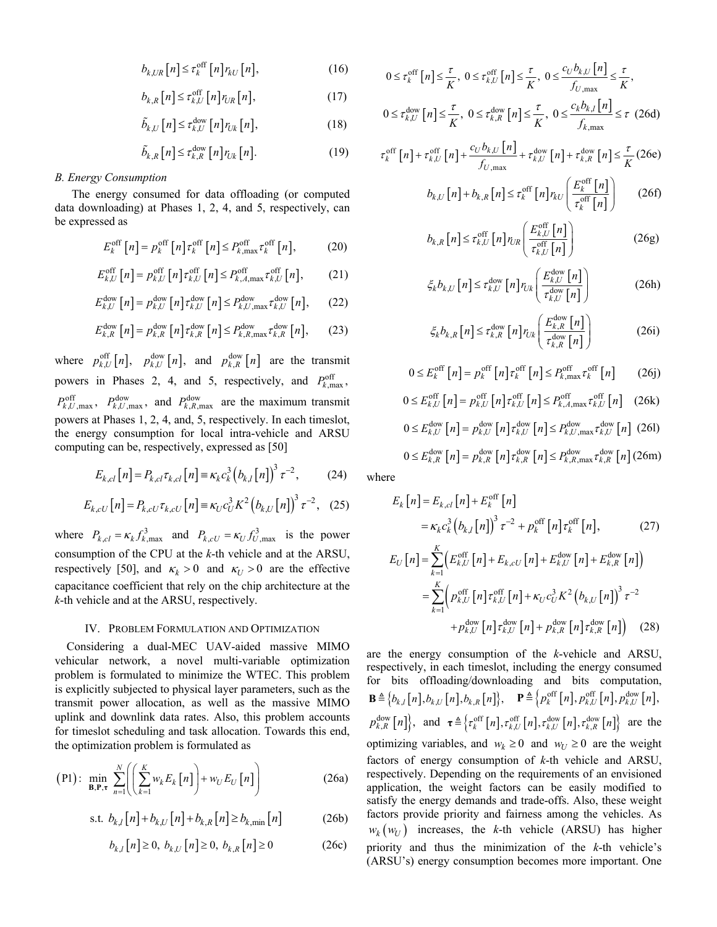$$
b_{k,UR}\left[n\right] \leq \tau_k^{\text{off}}\left[n\right]r_{kU}\left[n\right],\tag{16}
$$

$$
b_{k,R}\left[n\right] \leq \tau_{k,U}^{\text{off}}\left[n\right]r_{l,R}\left[n\right],\tag{17}
$$

$$
\tilde{b}_{k,U}[n] \le \tau_{k,U}^{\text{dow}}[n] r_{Uk}[n],\tag{18}
$$

$$
\tilde{b}_{k,R}\left[n\right] \leq \tau_{k,R}^{\text{dow}}\left[n\right]r_{Uk}\left[n\right].\tag{19}
$$

#### *B. Energy Consumption*

The energy consumed for data offloading (or computed data downloading) at Phases 1, 2, 4, and 5, respectively, can be expressed as

$$
E_k^{\rm off}\left[n\right] = p_k^{\rm off}\left[n\right]\tau_k^{\rm off}\left[n\right] \le P_{k,\max}^{\rm off}\tau_k^{\rm off}\left[n\right],\tag{20}
$$

$$
E_{k,U}^{\text{off}}\left[n\right] = p_{k,U}^{\text{off}}\left[n\right]\tau_{k,U}^{\text{off}}\left[n\right] \le P_{k,A,\text{max}}^{\text{off}}\tau_{k,U}^{\text{off}}\left[n\right],\tag{21}
$$

$$
E_{k,U}^{\text{dow}}[n] = p_{k,U}^{\text{dow}}[n] \tau_{k,U}^{\text{dow}}[n] \le P_{k,U,\text{max}}^{\text{dow}} \tau_{k,U}^{\text{dow}}[n],\qquad(22)
$$

$$
E_{k,R}^{\text{dow}}\left[n\right] = p_{k,R}^{\text{dow}}\left[n\right] \tau_{k,R}^{\text{dow}}\left[n\right] \le P_{k,R,\text{max}}^{\text{dow}} \tau_{k,R}^{\text{dow}}\left[n\right],\tag{23}
$$

where  $p_{k,U}^{\text{off}}[n]$ ,  $p_{k,U}^{\text{dow}}[n]$ , and  $p_{k,R}^{\text{dow}}[n]$  are the transmit powers in Phases 2, 4, and 5, respectively, and  $P_{k,\text{max}}^{\text{off}}$ ,  $P_{k,U,\text{max}}^{\text{off}}$ ,  $P_{k,U,\text{max}}^{\text{down}}$ , and  $P_{k,R,\text{max}}^{\text{down}}$  are the maximum transmit powers at Phases 1, 2, 4, and, 5, respectively. In each timeslot, the energy consumption for local intra-vehicle and ARSU computing can be, respectively, expressed as [50]

$$
E_{k,cl}[n] = P_{k,cl} \tau_{k,cl}[n] \equiv \kappa_k c_k^3 (b_{k,l}[n])^3 \tau^{-2}, \qquad (24)
$$

$$
E_{k,cU}[n] = P_{k,cU} \tau_{k,cU}[n] \equiv \kappa_U c_U^3 K^2 (b_{k,U}[n])^3 \tau^{-2}, \quad (25)
$$

where  $P_{k,cl} = \kappa_k f_{k,\text{max}}^3$  and  $P_{k,cl} = \kappa_U f_{U,\text{max}}^3$  is the power consumption of the CPU at the *k*-th vehicle and at the ARSU, respectively [50], and  $\kappa_k > 0$  and  $\kappa_U > 0$  are the effective capacitance coefficient that rely on the chip architecture at the *k*-th vehicle and at the ARSU, respectively.

### IV. PROBLEM FORMULATION AND OPTIMIZATION

Considering a dual-MEC UAV-aided massive MIMO vehicular network, a novel multi-variable optimization problem is formulated to minimize the WTEC. This problem is explicitly subjected to physical layer parameters, such as the transmit power allocation, as well as the massive MIMO uplink and downlink data rates. Also, this problem accounts for timeslot scheduling and task allocation. Towards this end, the optimization problem is formulated as

$$
\text{(P1):} \quad \min_{\mathbf{B}, \mathbf{P}, \tau} \sum_{n=1}^{N} \left( \left( \sum_{k=1}^{K} w_k E_k \left[ n \right] \right) + w_U E_U \left[ n \right] \right) \tag{26a}
$$

s.t. 
$$
b_{k,l}[n] + b_{k,U}[n] + b_{k,R}[n] \ge b_{k,\min}[n]
$$
 (26b)

$$
b_{k,l}[n] \ge 0, b_{k,l}[n] \ge 0, b_{k,R}[n] \ge 0
$$
 (26c)

$$
0 \le \tau_k^{\text{off}}[n] \le \frac{\tau}{K}, \ 0 \le \tau_{k,U}^{\text{off}}[n] \le \frac{\tau}{K}, \ 0 \le \frac{c_U b_{k,U}[n]}{f_{U,\text{max}}} \le \frac{\tau}{K},
$$
  

$$
0 \le \tau_{k,U}^{\text{down}}[n] \le \frac{\tau}{K}, \ 0 \le \tau_{k,R}^{\text{down}}[n] \le \frac{\tau}{K}, \ 0 \le \frac{c_k b_{k,I}[n]}{f_{k,\text{max}}} \le \tau \ (26d)
$$

$$
\tau_k^{\text{off}}[n] + \tau_{k,U}^{\text{off}}[n] + \frac{c_U b_{k,U}[n]}{f_{U,\text{max}}} + \tau_{k,U}^{\text{dow}}[n] + \tau_{k,R}^{\text{dow}}[n] \le \frac{\tau}{K}(26e)
$$

$$
b_{k,U}[n] + b_{k,R}[n] \le \tau_k^{\text{off}}[n]r_{kU}\left(\frac{E_k^{\text{off}}[n]}{\tau_k^{\text{off}}[n]}\right) \tag{26f}
$$

$$
\tau_k^{-1}[n] \big)
$$
  

$$
b_{k,R}[n] \le \tau_{k,U}^{\text{off}}[n] r_{UR} \left( \frac{E_{k,U}^{\text{off}}[n]}{\tau_{k,U}^{\text{off}}[n]} \right) \tag{26g}
$$

$$
\xi_k b_{k,U} [n] \le \tau_{k,U}^{\text{dow}} [n] r_{Uk} \left( \frac{E_{k,U}^{\text{dow}} [n]}{\tau_{k,U}^{\text{dow}} [n]} \right) \tag{26h}
$$

$$
\xi_k b_{k,R} [n] \le \tau_{k,R}^{\text{dow}} [n] r_{Uk} \left( \frac{E_{k,R}^{\text{dow}} [n]}{\tau_{k,R}^{\text{dow}} [n]} \right) \tag{26i}
$$

$$
0 \le E_k^{\text{off}}[n] = p_k^{\text{off}}[n] \tau_k^{\text{off}}[n] \le P_{k,\text{max}}^{\text{off}} \tau_k^{\text{off}}[n] \qquad (26j)
$$

$$
0 \le E_{k,U}^{\text{off}}[n] = p_{k,U}^{\text{off}}[n] \tau_{k,U}^{\text{off}}[n] \le P_{k,A,\text{max}}^{\text{off}} \tau_{k,U}^{\text{off}}[n] \quad (26k)
$$
  

$$
0 \le E_{k,U}^{\text{dow}}[n] = p_{k,U}^{\text{dow}}[n] \tau_{k,U}^{\text{dow}}[n] \le P_{k,U,\text{max}}^{\text{dow}} \tau_{k,U}^{\text{dow}}[n] \quad (26l)
$$

$$
0 \leq E_{k,R}^{\text{dow}}[n] = p_{k,R}^{\text{dow}}[n] \tau_{k,R}^{\text{dow}}[n] \leq P_{k,R,\text{max}}^{\text{dow}} \tau_{k,R}^{\text{dow}}[n] \text{ (26m)}
$$

where

$$
E_{k}[n] = E_{k,cl}[n] + E_{k}^{\text{off}}[n]
$$
  
\n
$$
= \kappa_{k} c_{k}^{3} (b_{k,l}[n])^{3} \tau^{-2} + p_{k}^{\text{off}}[n] \tau_{k}^{\text{off}}[n], \qquad (27)
$$
  
\n
$$
E_{U}[n] = \sum_{k=1}^{K} (E_{k,U}^{\text{off}}[n] + E_{k,cl} \cdot [n] + E_{k,U}^{\text{dow}}[n] + E_{k,R}^{\text{dow}}[n])
$$
  
\n
$$
= \sum_{k=1}^{K} (p_{k,U}^{\text{off}}[n] \tau_{k,U}^{\text{off}}[n] + \kappa_{U} c_{U}^{3} K^{2} (b_{k,U}[n])^{3} \tau^{-2}
$$
  
\n
$$
+ p_{k,U}^{\text{dow}}[n] \tau_{k,V}^{\text{dow}}[n] + p_{k,R}^{\text{dow}}[n] \tau_{k,R}^{\text{dow}}[n]) \qquad (28)
$$

are the energy consumption of the *k*-vehicle and ARSU, respectively, in each timeslot, including the energy consumed for bits offloading/downloading and bits computation,  $\mathbf{B} \triangleq \{b_{k,l}[n], b_{k,U}[n], b_{k,R}[n]\}, \quad \mathbf{P} \triangleq \{p_k^{\text{off}}[n], p_{k,U}^{\text{off}}[n], p_{k,U}^{\text{down}}[n],$  $p_{k,R}^{\text{down}}[n]$ , and  $\tau \triangleq \left\{ \tau_k^{\text{off}}[n], \tau_{k,U}^{\text{off}}[n], \tau_{k,U}^{\text{down}}[n], \tau_{k,R}^{\text{down}}[n] \right\}$  are the optimizing variables, and  $w_k \geq 0$  and  $w_U \geq 0$  are the weight factors of energy consumption of *k*-th vehicle and ARSU, respectively. Depending on the requirements of an envisioned application, the weight factors can be easily modified to satisfy the energy demands and trade-offs. Also, these weight factors provide priority and fairness among the vehicles. As  $w_k(w_U)$  increases, the *k*-th vehicle (ARSU) has higher priority and thus the minimization of the *k*-th vehicle's (ARSU's) energy consumption becomes more important. One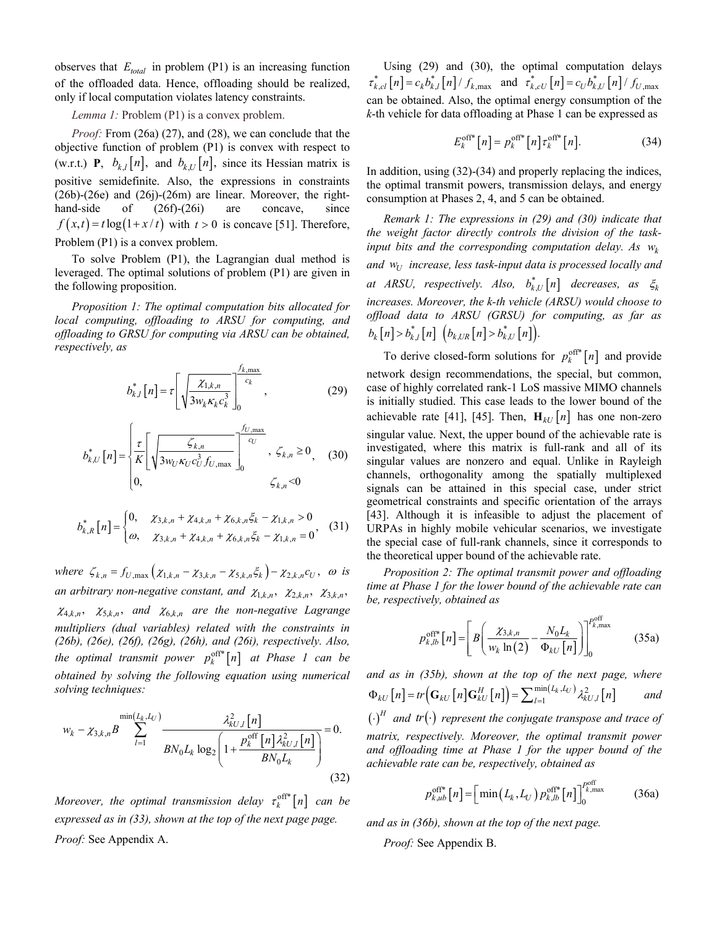observes that  $E_{total}$  in problem (P1) is an increasing function of the offloaded data. Hence, offloading should be realized, only if local computation violates latency constraints.

## *Lemma 1:* Problem (P1) is a convex problem.

*Proof:* From (26a) (27), and (28), we can conclude that the objective function of problem (P1) is convex with respect to (w.r.t.) **P**,  $b_{k,l}[n]$ , and  $b_{k,l}[n]$ , since its Hessian matrix is positive semidefinite. Also, the expressions in constraints (26b)-(26e) and (26j)-(26m) are linear. Moreover, the righthand-side of  $(26f)-(26i)$  are concave, since  $f(x,t) = t \log(1 + x/t)$  with  $t > 0$  is concave [51]. Therefore, Problem (P1) is a convex problem.

To solve Problem (P1), the Lagrangian dual method is leveraged. The optimal solutions of problem (P1) are given in the following proposition.

*Proposition 1: The optimal computation bits allocated for local computing, offloading to ARSU for computing, and offloading to GRSU for computing via ARSU can be obtained, respectively, as* 

$$
b_{k,l}^*\left[n\right] = \tau \left[\sqrt{\frac{\chi_{1,k,n}}{3w_k\kappa_k c_k^3}}\right]_0^{\frac{f_{k,\max}}{c_k}},\tag{29}
$$

$$
b_{k,U}^*\left[n\right] = \begin{cases} \frac{\tau}{K} \left[ \sqrt{\frac{\zeta_{k,n}}{3w_U \kappa_U c_U^3 f_{U,\max}}} \right]_0^{\frac{f_{U,\max}}{c_U}}, & \zeta_{k,n} \ge 0, \\ 0, & \zeta_{k,n} < 0 \end{cases} \tag{30}
$$

$$
b_{k,R}^*\left[n\right] = \begin{cases} 0, & \mathcal{X}_{3,k,n} + \mathcal{X}_{4,k,n} + \mathcal{X}_{6,k,n} \xi_k - \mathcal{X}_{1,k,n} > 0 \\ \varpi, & \mathcal{X}_{3,k,n} + \mathcal{X}_{4,k,n} + \mathcal{X}_{6,k,n} \xi_k - \mathcal{X}_{1,k,n} = 0 \end{cases} \tag{31}
$$

*where*  $\zeta_{k,n} = f_{U,\max}(\chi_{1,k,n} - \chi_{3,k,n} - \chi_{5,k,n} \xi_k) - \chi_{2,k,n} c_U$ ,  $\omega$  is *an arbitrary non-negative constant, and*  $\chi_{1,k,n}$ ,  $\chi_{2,k,n}$ ,  $\chi_{3,k,n}$ ,  $\chi_{4,k,n}$ ,  $\chi_{5,k,n}$ , and  $\chi_{6,k,n}$  are the non-negative Lagrange *multipliers (dual variables) related with the constraints in (26b), (26e), (26f), (26g), (26h), and (26i), respectively. Also, the optimal transmit power*  $p_k^{\text{off*}}[n]$  *at Phase 1 can be obtained by solving the following equation using numerical solving techniques:* 

$$
w_{k} - \chi_{3,k,n} B \sum_{l=1}^{\min(L_{k},L_{U})} \frac{\lambda_{kU,l}^{2}[n]}{BN_{0}L_{k} \log_{2} \left(1 + \frac{P_{k}^{\text{off}}[n]\lambda_{kU,l}^{2}[n]}{BN_{0}L_{k}}\right)} = 0.
$$
\n(32)

*Moreover, the optimal transmission delay*  $\tau_k^{\text{off}*}[n]$  can be *expressed as in (33), shown at the top of the next page page. Proof:* See Appendix A.

Using (29) and (30), the optimal computation delays  $\tau_{k,cl}^* [n] = c_k b_{k,l}^* [n] / f_{k,\text{max}}$  and  $\tau_{k,cl}^* [n] = c_U b_{k,U}^* [n] / f_{U,\text{max}}$ can be obtained. Also, the optimal energy consumption of the *k*-th vehicle for data offloading at Phase 1 can be expressed as

$$
E_k^{\text{off*}}[n] = p_k^{\text{off*}}[n] \tau_k^{\text{off*}}[n]. \tag{34}
$$

In addition, using (32)-(34) and properly replacing the indices, the optimal transmit powers, transmission delays, and energy consumption at Phases 2, 4, and 5 can be obtained.

*Remark 1: The expressions in (29) and (30) indicate that the weight factor directly controls the division of the task*input bits and the corresponding computation delay. As  $w_k$ and  $w_U$  increase, less task-input data is processed locally and at ARSU, respectively. Also,  $b_{k,U}^*[n]$  decreases, as  $\xi_k$ *increases. Moreover, the k-th vehicle (ARSU) would choose to offload data to ARSU (GRSU) for computing, as far as*   $b_k[n] > b_{k,l}^*[n]$   $(b_{k,UR}[n] > b_{k,U}^*[n]).$ 

To derive closed-form solutions for  $p_k^{\text{off*}}[n]$  and provide network design recommendations, the special, but common, case of highly correlated rank-1 LoS massive MIMO channels is initially studied. This case leads to the lower bound of the achievable rate [41], [45]. Then,  $\mathbf{H}_{kU}[n]$  has one non-zero singular value. Next, the upper bound of the achievable rate is investigated, where this matrix is full-rank and all of its singular values are nonzero and equal. Unlike in Rayleigh channels, orthogonality among the spatially multiplexed signals can be attained in this special case, under strict geometrical constraints and specific orientation of the arrays [43]. Although it is infeasible to adjust the placement of URPAs in highly mobile vehicular scenarios, we investigate the special case of full-rank channels, since it corresponds to the theoretical upper bound of the achievable rate.

*Proposition 2: The optimal transmit power and offloading time at Phase 1 for the lower bound of the achievable rate can be, respectively, obtained as*

$$
p_{k,lb}^{\text{off*}}[n] = \left[ B \left( \frac{\chi_{3,k,n}}{w_k \ln(2)} - \frac{N_0 L_k}{\Phi_{kU}[n]} \right) \right]_0^{p_{k,\text{max}}^{\text{off}}} \tag{35a}
$$

*and as in (35b), shown at the top of the next page, where*   $[n]$  = tr  $(\mathbf{G}_{kU}[n]\mathbf{G}_{kU}^H[n])$  =  $\sum_{l=1}^{\min(L_k, L_U)} \lambda_{kU, l}^2[n]$  $\Phi_{kU}[n] = tr(\mathbf{G}_{kU}[n]\mathbf{G}_{kU}^H[n]) = \sum_{l=1}^{\min(L_k, L_U)} \lambda_{kU,l}^2[n]$  and

 $\left(\cdot\right)^{H}$  *and tr* $\left(\cdot\right)$  *represent the conjugate transpose and trace of matrix, respectively. Moreover, the optimal transmit power and offloading time at Phase 1 for the upper bound of the achievable rate can be, respectively, obtained as* 

$$
p_{k,ub}^{\text{off*}}[n] = \left[\min\left(L_k, L_U\right)p_{k,lb}^{\text{off*}}[n]\right]_0^{p_{k,\text{max}}^{\text{off*}}} \tag{36a}
$$

*and as in (36b), shown at the top of the next page.*

*Proof:* See Appendix B.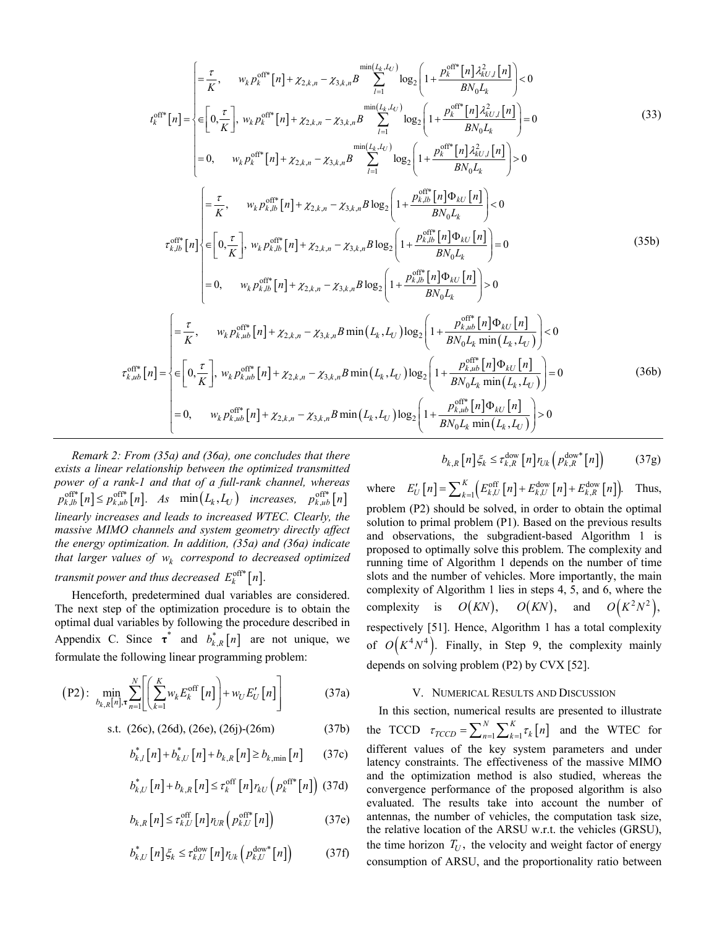$$
t_{k}^{\text{eff}}[n] = \begin{cases} \frac{\tau}{K}, & w_{k}p_{k}^{\text{eff}}[n] + \chi_{2,k,n} - \chi_{3,k,n}B \sum_{l=1}^{\min(L_{k},L_{U})} \log_{2} \left( 1 + \frac{p_{k}^{\text{eff}}[n] \lambda_{kU,l}^{2}(n)}{B N_{0} L_{k}} \right) < 0\\ t_{k}^{\text{eff}*}[n] = \begin{cases} 0, & \frac{\tau}{K} \end{cases}, w_{k}p_{k}^{\text{eff}*}[n] + \chi_{2,k,n} - \chi_{3,k,n}B \sum_{l=1}^{\min(L_{k},L_{U})} \log_{2} \left( 1 + \frac{p_{k}^{\text{eff}*}[n] \lambda_{kU,l}^{2}(n)}{B N_{0} L_{k}} \right) = 0\\ = 0, & w_{k}p_{k}^{\text{eff}*}[n] + \chi_{2,k,n} - \chi_{3,k,n}B \log_{2} \left( 1 + \frac{p_{k}^{\text{eff}*}[n] \lambda_{kU,l}^{2}(n)}{B N_{0} L_{k}} \right) > 0 \end{cases}
$$
(33)  

$$
t_{k,j,b}^{\text{eff}*}[n] = \begin{cases} \frac{\tau}{K}, & w_{k}p_{k,jb}^{\text{eff}*}[n] + \chi_{2,k,n} - \chi_{3,k,n}B \log_{2} \left( 1 + \frac{p_{k,jb}^{\text{eff}*}[n] \Phi_{kU}[n]}{B N_{0} L_{k}} \right) < 0\\ 0, & \frac{\tau_{k,jb}^{\text{eff}*}[n]}{\tau_{k,jb}^{\text{eff}*}[n]} \end{cases}
$$
(35b)  

$$
= 0, \qquad w_{k}p_{k,jb}^{\text{eff}*}[n] + \chi_{2,k,n} - \chi_{3,k,n}B \log_{2} \left( 1 + \frac{p_{k,jb}^{\text{eff}*}[n] \Phi_{kU}[n]}{B N_{0} L_{k}} \right) > 0
$$
  

$$
t_{k,i,b}^{\text{eff}*}[n] = \begin{cases} \frac{\tau}{K}, & w_{k}p_{k,i,b}^{\text{eff}*}[n] + \chi_{2,k,n} - \chi_{3,k,n}B \log_{2} \left( 1 + \frac{p_{k,jb}^{\
$$

*Remark 2: From (35a) and (36a), one concludes that there exists a linear relationship between the optimized transmitted power of a rank-1 and that of a full-rank channel, whereas*   $p_{k,lb}^{\text{off*}}[n] \leq p_{k,ub}^{\text{off*}}[n]$ . As  $\min(L_k, L_U)$  increases,  $p_{k,ub}^{\text{off*}}[n]$ *linearly increases and leads to increased WTEC. Clearly, the massive MIMO channels and system geometry directly affect the energy optimization. In addition, (35a) and (36a) indicate that larger values of*  $w_k$  *correspond to decreased optimized* 

*transmit power and thus decreased*  $E_k^{\text{off}*}[n]$ .

Henceforth, predetermined dual variables are considered. The next step of the optimization procedure is to obtain the optimal dual variables by following the procedure described in Appendix C. Since  $\tau^*$  and  $b_{k,R}^*[n]$  are not unique, we formulate the following linear programming problem:

$$
\text{(P2): } \min_{b_{k,R}[n], \tau} \sum_{n=1}^{N} \left[ \left( \sum_{k=1}^{K} w_k E_k^{\text{off}}[n] \right) + w_U E_U'[n] \right] \tag{37a}
$$

s.t. 
$$
(26c)
$$
,  $(26d)$ ,  $(26e)$ ,  $(26j)$ -(26m)  $(37b)$ 

$$
b_{k,l}^{*}[n] + b_{k,U}^{*}[n] + b_{k,R}[n] \ge b_{k,\min}[n] \qquad (37c)
$$

$$
b_{k,U}^*\left[n\right]+b_{k,R}\left[n\right]\leq\tau_k^{\text{off}}\left[n\right]r_{kU}\left(p_k^{\text{off*}}\left[n\right]\right) \tag{37d}
$$

$$
b_{k,R}\left[n\right] \leq \tau_{k,U}^{\text{off}}\left[n\right]r_{UR}\left(p_{k,U}^{\text{off}*}\left[n\right]\right) \tag{37e}
$$

$$
b_{k,U}^* [n] \xi_k \leq \tau_{k,U}^{\text{dow}} [n] r_{Uk} \left( p_{k,U}^{\text{dow}*} [n] \right) \tag{37f}
$$

$$
b_{k,R}\left[n\right]\xi_k \leq \tau_{k,R}^{\text{dow}}\left[n\right]r_{Uk}\left(p_{k,R}^{\text{dow}*}\left[n\right]\right) \tag{37g}
$$

where  $E'_U[n] = \sum_{k=1}^{K} \left( E_{k,U}^{\text{off}}[n] + E_{k,U}^{\text{dow}}[n] + E_{k,R}^{\text{dow}}[n] \right)$ . Thus, problem (P2) should be solved, in order to obtain the optimal solution to primal problem (P1). Based on the previous results and observations, the subgradient-based Algorithm 1 is proposed to optimally solve this problem. The complexity and running time of Algorithm 1 depends on the number of time slots and the number of vehicles. More importantly, the main complexity of Algorithm 1 lies in steps 4, 5, and 6, where the complexity is  $O(KN)$ ,  $O(KN)$ , and  $O(K^2N^2)$ , respectively [51]. Hence, Algorithm 1 has a total complexity of  $O(K^4N^4)$ . Finally, in Step 9, the complexity mainly depends on solving problem (P2) by CVX [52].

#### V. NUMERICAL RESULTS AND DISCUSSION

In this section, numerical results are presented to illustrate the TCCD  $\tau_{TCCD} = \sum_{n=1}^{N} \sum_{k=1}^{K} \tau_k [n]$  and the WTEC for different values of the key system parameters and under latency constraints. The effectiveness of the massive MIMO and the optimization method is also studied, whereas the convergence performance of the proposed algorithm is also evaluated. The results take into account the number of antennas, the number of vehicles, the computation task size, the relative location of the ARSU w.r.t. the vehicles (GRSU), the time horizon  $T_U$ , the velocity and weight factor of energy consumption of ARSU, and the proportionality ratio between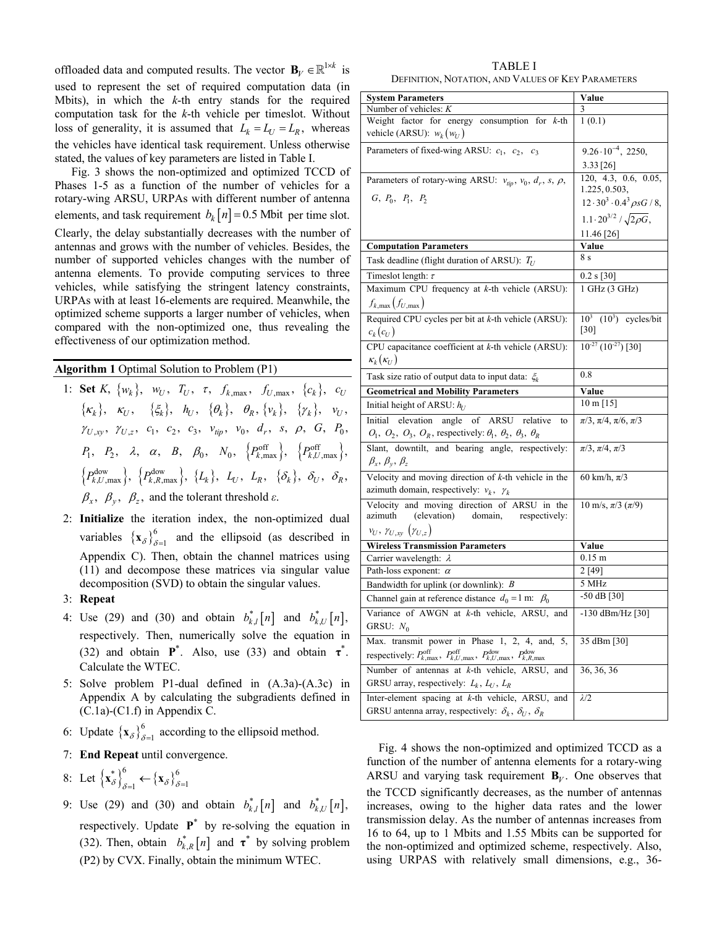offloaded data and computed results. The vector  $\mathbf{B}_V \in \mathbb{R}^{1 \times k}$  is used to represent the set of required computation data (in Mbits), in which the *k*-th entry stands for the required computation task for the *k*-th vehicle per timeslot. Without loss of generality, it is assumed that  $L_k = L_U = L_R$ , whereas the vehicles have identical task requirement. Unless otherwise stated, the values of key parameters are listed in Table I.

Fig. 3 shows the non-optimized and optimized TCCD of Phases 1-5 as a function of the number of vehicles for a rotary-wing ARSU, URPAs with different number of antenna elements, and task requirement  $b_k[n] = 0.5$  Mbit per time slot. Clearly, the delay substantially decreases with the number of antennas and grows with the number of vehicles. Besides, the number of supported vehicles changes with the number of antenna elements. To provide computing services to three vehicles, while satisfying the stringent latency constraints, URPAs with at least 16-elements are required. Meanwhile, the optimized scheme supports a larger number of vehicles, when compared with the non-optimized one, thus revealing the effectiveness of our optimization method.

**Algorithm 1** Optimal Solution to Problem (P1)

- 1: **Set** *K*,  $\{w_k\}$ ,  $w_U$ ,  $T_U$ ,  $\tau$ ,  $f_{k, \max}$ ,  $f_{U, \max}$ ,  $\{c_k\}$ ,  $c_U$  $\{\kappa_k\}, \kappa_U, \{\xi_k\}, \hbar_U, \{\theta_k\}, \theta_R, \{v_k\}, \{\gamma_k\}, \nu_U,$  $\gamma_{U,xy}, \gamma_{U,z}, c_1, c_2, c_3, \nu_{tip}, \nu_0, d_r, s, \rho, G, P_0$  $P_1, \quad P_2, \quad \lambda, \quad \alpha, \quad B, \quad \beta_0, \quad N_0, \quad \left\{ P_{k,\textrm{max}}^{\textrm{off}} \right\}, \quad \left\{ P_{k,U,\textrm{max}}^{\textrm{off}} \right\},$  $\left\{ P_{k, U, \text{max}}^{\text{down}} \right\}, \ \left\{ P_{k, R, \text{max}}^{\text{down}} \right\}, \ \left\{ L_k \right\}, \ \ L_U, \ \ L_R, \ \ \left\{ \delta_k \right\}, \ \ \delta_U, \ \ \delta_R,$  $\beta_x$ ,  $\beta_y$ ,  $\beta_z$ , and the tolerant threshold  $\varepsilon$ .
- 2: **Initialize** the iteration index, the non-optimized dual variables  ${x_\delta}_{\delta=1}^6$  and the ellipsoid (as described in Appendix C). Then, obtain the channel matrices using (11) and decompose these matrices via singular value decomposition (SVD) to obtain the singular values.
- 3: **Repeat**
- 4: Use (29) and (30) and obtain  $b_{k,l}^*[n]$  and  $b_{k,l}^*[n]$ , respectively. Then, numerically solve the equation in (32) and obtain  $\mathbf{P}^*$ . Also, use (33) and obtain  $\mathbf{\tau}^*$ . Calculate the WTEC.
- 5: Solve problem P1-dual defined in (A.3a)-(A.3c) in Appendix A by calculating the subgradients defined in (C.1a)-(C1.f) in Appendix C.
- 6: Update  $\{x_{\delta}\}_{\delta=1}^{6}$  according to the ellipsoid method.
- 7: **End Repeat** until convergence.

8: Let 
$$
\left\{ \mathbf{x}_{\delta}^{*} \right\}_{\delta=1}^{6} \leftarrow \left\{ \mathbf{x}_{\delta} \right\}_{\delta=1}^{6}
$$

9: Use (29) and (30) and obtain  $b_{k,l}^*[n]$  and  $b_{k,l}^*[n]$ , respectively. Update  $P^*$  by re-solving the equation in (32). Then, obtain  $b_{k,R}^*[n]$  and  $\tau^*$  by solving problem (P2) by CVX. Finally, obtain the minimum WTEC.

TABLE I DEFINITION, NOTATION, AND VALUES OF KEY PARAMETERS

| <b>System Parameters</b>                                                                                                                         | Value                                                |
|--------------------------------------------------------------------------------------------------------------------------------------------------|------------------------------------------------------|
| Number of vehicles: $K$                                                                                                                          | 3                                                    |
| Weight factor for energy consumption for $k$ -th                                                                                                 | 1(0.1)                                               |
| vehicle (ARSU): $w_k(w_U)$                                                                                                                       |                                                      |
| Parameters of fixed-wing ARSU: $c_1$ , $c_2$ , $c_3$                                                                                             | $9.26 \cdot 10^{-4}$ , 2250,                         |
|                                                                                                                                                  | 3.33 [26]                                            |
| Parameters of rotary-wing ARSU: $v_{tip}$ , $v_0$ , $d_r$ , s, $\rho$ ,                                                                          | 120, 4.3, 0.6, 0.05,<br>1.225, 0.503,                |
| $G, P_0, P_1, P_2$                                                                                                                               | $12 \cdot 30^3 \cdot 0.4^3 \rho s G / 8,$            |
|                                                                                                                                                  | $1.1 \cdot 20^{3/2}$ / $\sqrt{2\rho G}$ ,            |
|                                                                                                                                                  | 11.46 [26]                                           |
| <b>Computation Parameters</b>                                                                                                                    | Value                                                |
| Task deadline (flight duration of ARSU): $T_U$                                                                                                   | 8 s                                                  |
| Timeslot length: $\tau$                                                                                                                          | 0.2 s [30]                                           |
| Maximum CPU frequency at $k$ -th vehicle (ARSU):                                                                                                 | 1 GHz (3 GHz)                                        |
| $f_{k,\max}(f_{U,\max})$                                                                                                                         |                                                      |
| Required CPU cycles per bit at $k$ -th vehicle (ARSU):                                                                                           | $\overline{10^3 \ (10^3)}$ cycles/bit                |
| $c_k(c_U)$                                                                                                                                       | [30]                                                 |
| CPU capacitance coefficient at $k$ -th vehicle (ARSU):                                                                                           | $10^{-27}$ $(10^{-27})$ [30]                         |
| $\kappa_k(\kappa_U)$                                                                                                                             |                                                      |
| Task size ratio of output data to input data: $\xi_k$                                                                                            | 0.8                                                  |
| <b>Geometrical and Mobility Parameters</b>                                                                                                       | Value                                                |
| Initial height of ARSU: $h_U$                                                                                                                    | $10 \text{ m} [15]$                                  |
| Initial elevation angle of ARSU relative<br>to                                                                                                   | $\pi/3$ , $\pi/4$ , $\pi/6$ , $\pi/3$                |
| $O_1$ , $O_2$ , $O_3$ , $O_R$ , respectively: $\theta_1$ , $\theta_2$ , $\theta_3$ , $\theta_R$                                                  |                                                      |
| Slant, downtilt, and bearing angle, respectively:<br>$\beta_x$ , $\beta_y$ , $\beta_z$                                                           | $\pi/3, \pi/4, \pi/3$                                |
| Velocity and moving direction of $k$ -th vehicle in the                                                                                          | 60 km/h, $\pi/3$                                     |
| azimuth domain, respectively: $v_k$ , $\gamma_k$                                                                                                 |                                                      |
| Velocity and moving direction of ARSU in the<br>azimuth (elevation) domain, respectively:                                                        | $10 \text{ m/s}, \pi/3 \left( \frac{\pi}{9} \right)$ |
| $v_U, \gamma_{U,xy}(\gamma_{U,z})$                                                                                                               |                                                      |
| <b>Wireless Transmission Parameters</b>                                                                                                          | Value                                                |
| Carrier wavelength: $\lambda$                                                                                                                    | $0.15 \text{ m}$                                     |
| Path-loss exponent: $\alpha$                                                                                                                     | 2 [49]                                               |
| Bandwidth for uplink (or downlink): $B$                                                                                                          | 5 MHz                                                |
| Channel gain at reference distance $d_0 = 1$ m: $\beta_0$                                                                                        | -50 dB [30]                                          |
| Variance of AWGN at k-th vehicle, ARSU, and                                                                                                      | $-130$ dBm/Hz $[30]$                                 |
| GRSU: $N_0$                                                                                                                                      |                                                      |
| Max. transmit power in Phase 1, 2, 4, and, 5,                                                                                                    | 35 dBm [30]                                          |
| respectively: $P_{k,\text{max}}^{\text{off}}, P_{k,U,\text{max}}^{\text{off}}, P_{k,U,\text{max}}^{\text{dow}}, P_{k,R,\text{max}}^{\text{dow}}$ |                                                      |
| Number of antennas at k-th vehicle, ARSU, and                                                                                                    | 36, 36, 36                                           |
| GRSU array, respectively: $L_k$ , $L_U$ , $L_R$                                                                                                  |                                                      |
| Inter-element spacing at k-th vehicle, ARSU, and                                                                                                 | $\lambda/2$                                          |
| GRSU antenna array, respectively: $\delta_k$ , $\delta_U$ , $\delta_R$                                                                           |                                                      |

Fig. 4 shows the non-optimized and optimized TCCD as a function of the number of antenna elements for a rotary-wing ARSU and varying task requirement  $\mathbf{B}_V$ . One observes that the TCCD significantly decreases, as the number of antennas increases, owing to the higher data rates and the lower transmission delay. As the number of antennas increases from 16 to 64, up to 1 Mbits and 1.55 Mbits can be supported for the non-optimized and optimized scheme, respectively. Also, using URPAS with relatively small dimensions, e.g., 36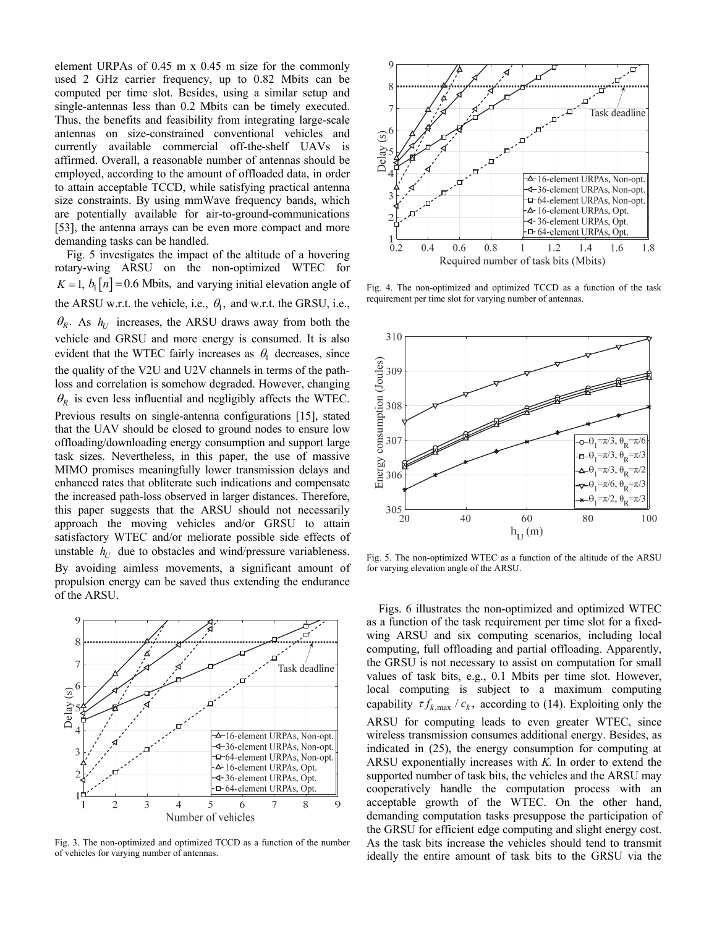element URPAs of 0.45 m x 0.45 m size for the commonly used 2 GHz carrier frequency, up to 0.82 Mbits can be computed per time slot. Besides, using a similar setup and single-antennas less than 0.2 Mbits can be timely executed. Thus, the benefits and feasibility from integrating large-scale antennas on size-constrained conventional vehicles and currently available commercial off-the-shelf UAVs is affirmed. Overall, a reasonable number of antennas should be employed, according to the amount of offloaded data, in order to attain acceptable TCCD, while satisfying practical antenna size constraints. By using mmWave frequency bands, which are potentially available for air-to-ground-communications [53], the antenna arrays can be even more compact and more demanding tasks can be handled.

Fig. 5 investigates the impact of the altitude of a hovering rotary-wing ARSU on the non-optimized WTEC for  $K = 1$ ,  $b_1[n] = 0.6$  Mbits, and varying initial elevation angle of the ARSU w.r.t. the vehicle, i.e.,  $\theta_1$ , and w.r.t. the GRSU, i.e.,  $\theta_R$ . As  $h_U$  increases, the ARSU draws away from both the vehicle and GRSU and more energy is consumed. It is also evident that the WTEC fairly increases as  $\theta_1$  decreases, since the quality of the V2U and U2V channels in terms of the pathloss and correlation is somehow degraded. However, changing  $\theta_R$  is even less influential and negligibly affects the WTEC. Previous results on single-antenna configurations [15], stated that the UAV should be closed to ground nodes to ensure low offloading/downloading energy consumption and support large task sizes. Nevertheless, in this paper, the use of massive MIMO promises meaningfully lower transmission delays and enhanced rates that obliterate such indications and compensate the increased path-loss observed in larger distances. Therefore, this paper suggests that the ARSU should not necessarily approach the moving vehicles and/or GRSU to attain satisfactory WTEC and/or meliorate possible side effects of unstable  $h_U$  due to obstacles and wind/pressure variableness.

By avoiding aimless movements, a significant amount of propulsion energy can be saved thus extending the endurance of the ARSU.



Fig. 3. The non-optimized and optimized TCCD as a function of the number of vehicles for varying number of antennas.



Fig. 4. The non-optimized and optimized TCCD as a function of the task requirement per time slot for varying number of antennas.



Fig. 5. The non-optimized WTEC as a function of the altitude of the ARSU for varying elevation angle of the ARSU.

Figs. 6 illustrates the non-optimized and optimized WTEC as a function of the task requirement per time slot for a fixedwing ARSU and six computing scenarios, including local computing, full offloading and partial offloading. Apparently, the GRSU is not necessary to assist on computation for small values of task bits, e.g., 0.1 Mbits per time slot. However, local computing is subject to a maximum computing capability  $\tau f_{k, \max} / c_k$ , according to (14). Exploiting only the ARSU for computing leads to even greater WTEC, since wireless transmission consumes additional energy. Besides, as indicated in (25), the energy consumption for computing at ARSU exponentially increases with *K.* In order to extend the supported number of task bits, the vehicles and the ARSU may cooperatively handle the computation process with an acceptable growth of the WTEC. On the other hand, demanding computation tasks presuppose the participation of the GRSU for efficient edge computing and slight energy cost. As the task bits increase the vehicles should tend to transmit ideally the entire amount of task bits to the GRSU via the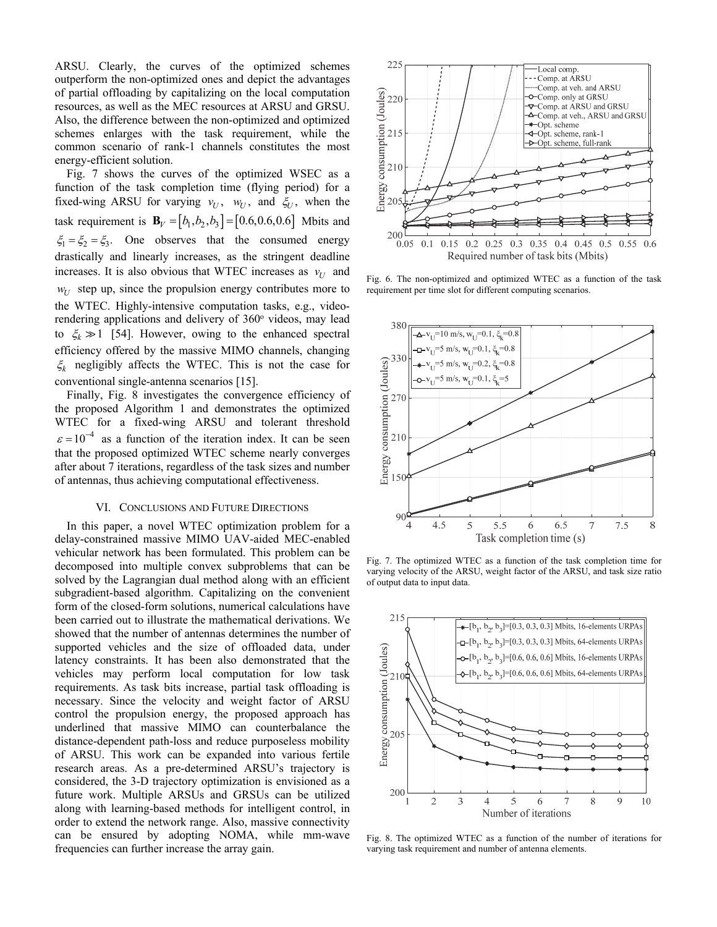ARSU. Clearly, the curves of the optimized schemes outperform the non-optimized ones and depict the advantages of partial offloading by capitalizing on the local computation resources, as well as the MEC resources at ARSU and GRSU. Also, the difference between the non-optimized and optimized schemes enlarges with the task requirement, while the common scenario of rank-1 channels constitutes the most energy-efficient solution.

Fig. 7 shows the curves of the optimized WSEC as a function of the task completion time (flying period) for a fixed-wing ARSU for varying  $v_U$ ,  $w_U$ , and  $\xi_U$ , when the task requirement is  $\mathbf{B}_V = [b_1, b_2, b_3] = [0.6, 0.6, 0.6]$  Mbits and  $\xi_1 = \xi_2 = \xi_3$ . One observes that the consumed energy drastically and linearly increases, as the stringent deadline increases. It is also obvious that WTEC increases as  $v_{U}$  and  $w_U$  step up, since the propulsion energy contributes more to the WTEC. Highly-intensive computation tasks, e.g., videorendering applications and delivery of 360° videos, may lead to  $\xi_k \gg 1$  [54]. However, owing to the enhanced spectral efficiency offered by the massive MIMO channels, changing  $\xi_k$  negligibly affects the WTEC. This is not the case for conventional single-antenna scenarios [15].

Finally, Fig. 8 investigates the convergence efficiency of the proposed Algorithm 1 and demonstrates the optimized WTEC for a fixed-wing ARSU and tolerant threshold  $\epsilon = 10^{-4}$  as a function of the iteration index. It can be seen that the proposed optimized WTEC scheme nearly converges after about 7 iterations, regardless of the task sizes and number of antennas, thus achieving computational effectiveness.

#### VI. CONCLUSIONS AND FUTURE DIRECTIONS

In this paper, a novel WTEC optimization problem for a delay-constrained massive MIMO UAV-aided MEC-enabled vehicular network has been formulated. This problem can be decomposed into multiple convex subproblems that can be solved by the Lagrangian dual method along with an efficient subgradient-based algorithm. Capitalizing on the convenient form of the closed-form solutions, numerical calculations have been carried out to illustrate the mathematical derivations. We showed that the number of antennas determines the number of supported vehicles and the size of offloaded data, under latency constraints. It has been also demonstrated that the vehicles may perform local computation for low task requirements. As task bits increase, partial task offloading is necessary. Since the velocity and weight factor of ARSU control the propulsion energy, the proposed approach has underlined that massive MIMO can counterbalance the distance-dependent path-loss and reduce purposeless mobility of ARSU. This work can be expanded into various fertile research areas. As a pre-determined ARSU's trajectory is considered, the 3-D trajectory optimization is envisioned as a future work. Multiple ARSUs and GRSUs can be utilized along with learning-based methods for intelligent control, in order to extend the network range. Also, massive connectivity can be ensured by adopting NOMA, while mm-wave frequencies can further increase the array gain.



Fig. 6. The non-optimized and optimized WTEC as a function of the task requirement per time slot for different computing scenarios.



Fig. 7. The optimized WTEC as a function of the task completion time for varying velocity of the ARSU, weight factor of the ARSU, and task size ratio of output data to input data.



Fig. 8. The optimized WTEC as a function of the number of iterations for varying task requirement and number of antenna elements.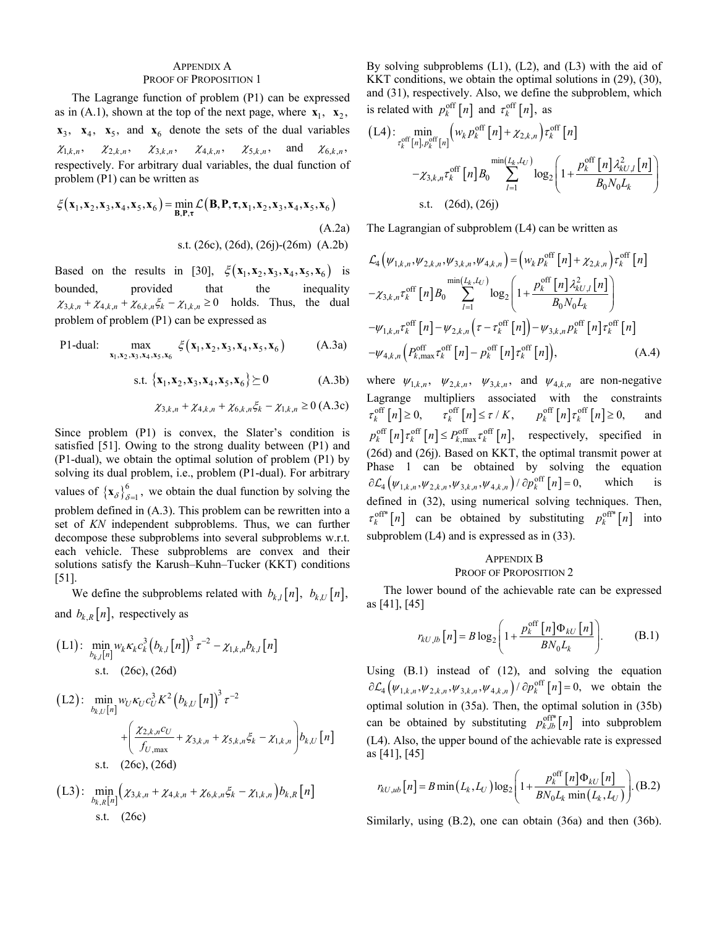#### APPENDIX A PROOF OF PROPOSITION 1

The Lagrange function of problem (P1) can be expressed as in (A.1), shown at the top of the next page, where  $\mathbf{x}_1$ ,  $\mathbf{x}_2$ ,  $x_3$ ,  $x_4$ ,  $x_5$ , and  $x_6$  denote the sets of the dual variables  $\chi_{1,k,n}, \quad \chi_{2,k,n}, \quad \chi_{3,k,n}, \quad \chi_{4,k,n}, \quad \chi_{5,k,n}, \quad \text{and} \quad \chi_{6,k,n}$ respectively. For arbitrary dual variables, the dual function of problem (P1) can be written as

$$
\xi(\mathbf{x}_1, \mathbf{x}_2, \mathbf{x}_3, \mathbf{x}_4, \mathbf{x}_5, \mathbf{x}_6) = \min_{\mathbf{B}, \mathbf{P}, \tau} \mathcal{L}(\mathbf{B}, \mathbf{P}, \tau, \mathbf{x}_1, \mathbf{x}_2, \mathbf{x}_3, \mathbf{x}_4, \mathbf{x}_5, \mathbf{x}_6)
$$
\n(A.2a)  
s.t. (26c), (26d), (26j)-(26m) (A.2b)

Based on the results in [30],  $\xi$ (**x**<sub>1</sub>, **x**<sub>2</sub>, **x**<sub>3</sub>, **x**<sub>4</sub>, **x**<sub>5</sub>, **x**<sub>6</sub>) is bounded, provided that the inequality  $\chi_{3,k,n} + \chi_{4,k,n} + \chi_{6,k,n} \xi_k - \chi_{1,k,n} \ge 0$  holds. Thus, the dual problem of problem (P1) can be expressed as

P1-dual: 
$$
\max_{x_1, x_2, x_3, x_4, x_5, x_6} \xi(x_1, x_2, x_3, x_4, x_5, x_6)
$$
 (A.3a)

$$
\text{s.t. } \{\mathbf{x}_1, \mathbf{x}_2, \mathbf{x}_3, \mathbf{x}_4, \mathbf{x}_5, \mathbf{x}_6\} \succeq 0 \tag{A.3b}
$$

$$
\chi_{3,k,n} + \chi_{4,k,n} + \chi_{6,k,n} \xi_k - \chi_{1,k,n} \ge 0 \text{ (A.3c)}
$$

Since problem (P1) is convex, the Slater's condition is satisfied [51]. Owing to the strong duality between (P1) and (P1-dual), we obtain the optimal solution of problem (P1) by solving its dual problem, i.e., problem (P1-dual). For arbitrary values of  $\{x_{\delta}\}_{\delta=1}^{6}$ , we obtain the dual function by solving the problem defined in (A.3). This problem can be rewritten into a set of *KN* independent subproblems. Thus, we can further decompose these subproblems into several subproblems w.r.t. each vehicle. These subproblems are convex and their solutions satisfy the Karush–Kuhn–Tucker (KKT) conditions [51].

We define the subproblems related with  $b_{k,l}[n], b_{k,l}[n],$ and  $b_{k, R} [n]$ , respectively as

(L1): 
$$
\min_{b_{k,l}[n]} w_k \kappa_k c_k^3 (b_{k,l}[n])^3 \tau^{-2} - \chi_{1,k,n} b_{k,l}[n]
$$
  
s.t. (26c), (26d)

$$
\begin{aligned} \text{(L2):} \quad & \min_{b_{k,U}[n]} w_U \kappa_U c_U^3 K^2 \left( b_{k,U}[n] \right)^3 \tau^{-2} \\ &+ \left( \frac{\chi_{2,k,n} c_U}{f_{U,\text{max}}} + \chi_{3,k,n} + \chi_{5,k,n} \xi_k - \chi_{1,k,n} \right) b_{k,U}[n] \\ & \text{s.t.} \quad \text{(26c), (26d)} \end{aligned}
$$

(L3): 
$$
\min_{b_{k,R}[n]} (\chi_{3,k,n} + \chi_{4,k,n} + \chi_{6,k,n} \xi_k - \chi_{1,k,n}) b_{k,R}[n]
$$
  
s.t. (26c)

By solving subproblems (L1), (L2), and (L3) with the aid of KKT conditions, we obtain the optimal solutions in (29), (30), and (31), respectively. Also, we define the subproblem, which is related with  $p_k^{\text{off}}[n]$  and  $\tau_k^{\text{off}}[n]$ , as

$$
(L4): \min_{\tau_k^{\text{off}}[n], p_k^{\text{off}}[n]} \left( w_k p_k^{\text{off}}[n] + \chi_{2,k,n} \right) \tau_k^{\text{off}}[n] - \chi_{3,k,n} \tau_k^{\text{off}}[n] B_0 \sum_{l=1}^{\min\{L_k, L_U\}} \log_2 \left( 1 + \frac{p_k^{\text{off}}[n] \lambda_{kU,l}^2[n]}{B_0 N_0 L_k} \right) \text{s.t.} \quad (26d), (26j)
$$

The Lagrangian of subproblem (L4) can be written as

$$
\mathcal{L}_{4}\left(\psi_{1,k,n},\psi_{2,k,n},\psi_{3,k,n},\psi_{4,k,n}\right) = \left(w_{k}p_{k}^{\text{off}}\left[n\right] + \chi_{2,k,n}\right)\tau_{k}^{\text{off}}\left[n\right] \n- \chi_{3,k,n}\tau_{k}^{\text{off}}\left[n\right]B_{0} \sum_{l=1}^{\min(L_{k},L_{U})}\log_{2}\left(1 + \frac{p_{k}^{\text{off}}\left[n\right]\lambda_{kU,l}^{2}\left[n\right]}{B_{0}N_{0}L_{k}}\right) \n- \psi_{1,k,n}\tau_{k}^{\text{off}}\left[n\right] - \psi_{2,k,n}\left(\tau - \tau_{k}^{\text{off}}\left[n\right]\right) - \psi_{3,k,n}p_{k}^{\text{off}}\left[n\right]\tau_{k}^{\text{off}}\left[n\right] \n- \psi_{4,k,n}\left(P_{k,\max}^{\text{off}}\tau_{k}^{\text{off}}\left[n\right] - p_{k}^{\text{off}}\left[n\right]\tau_{k}^{\text{off}}\left[n\right]\right),\n\tag{A.4}
$$

where  $\psi_{1,k,n}$ ,  $\psi_{2,k,n}$ ,  $\psi_{3,k,n}$ , and  $\psi_{4,k,n}$  are non-negative Lagrange multipliers associated with the constraints  $\tau_k^{\text{off}}[n] \geq 0$ ,  $\tau_k^{\text{off}}[n] \leq \tau / K$ ,  $p_k^{\text{off}}[n] \tau_k^{\text{off}}[n] \geq 0$ , and  $p_k^{\text{off}}[n]\tau_k^{\text{off}}[n] \leq P_{k,\text{max}}^{\text{off}}\tau_k^{\text{off}}[n],$  respectively, specified in (26d) and (26j). Based on KKT, the optimal transmit power at Phase 1 can be obtained by solving the equation  $\partial \mathcal{L}_4(\psi_{1,k,n}, \psi_{2,k,n}, \psi_{3,k,n}, \psi_{4,k,n}) / \partial p_k^{\text{off}}[n] = 0, \quad \text{which} \quad \text{is}$ defined in (32), using numerical solving techniques. Then,  $\tau_k^{\text{off*}}[n]$  can be obtained by substituting  $p_k^{\text{off*}}[n]$  into subproblem  $(L4)$  and is expressed as in  $(33)$ .

## APPENDIX B PROOF OF PROPOSITION 2

The lower bound of the achievable rate can be expressed as [41], [45]

$$
r_{kU,lb}[n] = B \log_2 \left( 1 + \frac{p_k^{\text{off}}[n] \Phi_{kU}[n]}{BN_0L_k} \right). \tag{B.1}
$$

Using (B.1) instead of (12), and solving the equation  $\partial \mathcal{L}_4(\psi_{1,k,n}, \psi_{2,k,n}, \psi_{3,k,n}, \psi_{4,k,n}) / \partial p_k^{\text{off}}[n] = 0$ , we obtain the optimal solution in (35a). Then, the optimal solution in (35b) can be obtained by substituting  $p_{k,lb}^{\text{off}*}[n]$  into subproblem (L4). Also, the upper bound of the achievable rate is expressed as [41], [45]

$$
r_{kU,ub}[n] = B \min(L_k, L_U) \log_2 \left( 1 + \frac{p_k^{\text{off}}[n] \Phi_{kU}[n]}{BN_0 L_k \min(L_k, L_U)} \right). \text{(B.2)}
$$

Similarly, using (B.2), one can obtain (36a) and then (36b).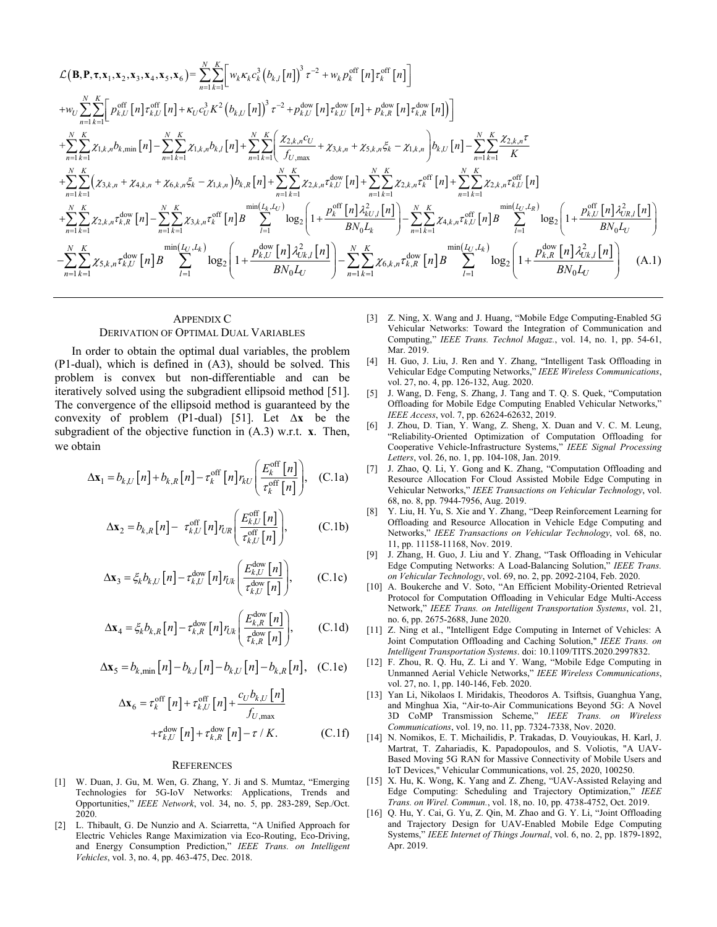$$
\mathcal{L}(\mathbf{B}, \mathbf{P}, \tau, \mathbf{x}_{1}, \mathbf{x}_{2}, \mathbf{x}_{3}, \mathbf{x}_{4}, \mathbf{x}_{5}, \mathbf{x}_{6}) = \sum_{n=1}^{N} \sum_{k=1}^{K} \left[ w_{k} \kappa_{k} c_{k}^{3} (b_{k,l}[n])^{3} \tau^{-2} + w_{k} p_{k}^{\text{off}} [n] \tau_{k}^{\text{off}} [n] \tau_{k}^{\text{off}} [n] \right]
$$
\n
$$
+ w_{U} \sum_{n=1}^{N} \sum_{k=1}^{K} \left[ p_{k,U}^{\text{off}} [n] \tau_{k,U}^{\text{off}} [n] + \kappa_{U} c_{U}^{3} K^{2} (b_{k,U}[n])^{3} \tau^{-2} + p_{k,U}^{\text{dow}} [n] \tau_{k,U}^{\text{dow}} [n] + p_{k,R}^{\text{dow}} [n] \tau_{k,R}^{\text{dow}} [n] \right]
$$
\n
$$
+ \sum_{n=1}^{N} \sum_{k=1}^{K} \sum_{k=1}^{K} \chi_{1,k,n} b_{k,\min} [n] - \sum_{n=1}^{N} \sum_{k=1}^{K} \sum_{k=1, k,n} \chi_{1,k,n} b_{k,l}[n] + \sum_{n=1}^{N} \sum_{k=1}^{K} \left( \frac{\chi_{2,k,n} c_{U}}{f_{U,\max}} + \chi_{3,k,n} + \chi_{5,k,n} \xi_{k} - \chi_{1,k,n} \right) b_{k,U}[n] - \sum_{n=1}^{N} \sum_{k=1}^{K} \sum_{k=1}^{K} \chi_{2,k,n} \tau_{k,U}^{\text{off}} [n]
$$
\n
$$
+ \sum_{n=1}^{N} \sum_{k=1}^{K} \left( \chi_{3,k,n} + \chi_{4,k,n} + \chi_{6,k,n} \xi_{k} - \chi_{1,k,n} \right) b_{k,R}[n] + \sum_{n=1}^{N} \sum_{k=1}^{K} \chi_{2,k,n} \tau_{k,U}^{\text{dow}} [n] + \sum_{n=1}^{N} \sum_{k=1}^{K} \chi_{2,k,n} \tau_{k,U}^{\text{off}} [n] + \sum_{n=1}^{N} \sum_{k=1}^{K}
$$

## APPENDIX C DERIVATION OF OPTIMAL DUAL VARIABLES

In order to obtain the optimal dual variables, the problem (P1-dual), which is defined in (A3), should be solved. This problem is convex but non-differentiable and can be iteratively solved using the subgradient ellipsoid method [51]. The convergence of the ellipsoid method is guaranteed by the convexity of problem (P1-dual) [51]. Let  $\Delta x$  be the subgradient of the objective function in  $(A.3)$  w.r.t.  $\mathbf{x}$ . Then, we obtain

$$
\Delta \mathbf{x}_1 = b_{k,U} [n] + b_{k,R} [n] - \tau_k^{\text{off}} [n] r_{kU} \left( \frac{E_k^{\text{off}} [n]}{\tau_k^{\text{off}} [n]} \right), \quad \text{(C.1a)}
$$

$$
\Delta \mathbf{x}_2 = b_{k,R} [n] - \tau_{k,U}^{\text{off}} [n] r_{UR} \left( \frac{E_{k,U}^{\text{off}} [n]}{\tau_{k,U}^{\text{off}} [n]} \right), \quad (C.1b)
$$

$$
\Delta \mathbf{x}_{3} = \xi_{k} b_{k,U} [n] - \tau_{k,U}^{\text{down}} [n] r_{Uk} \left( \frac{E_{k,U}^{\text{down}} [n]}{\tau_{k,U}^{\text{down}} [n]} \right), \qquad \text{(C.1c)}
$$

$$
\Delta \mathbf{x}_4 = \xi_k b_{k,R} [n] - \tau_{k,R}^{\text{dow}} [n] r_{l,k} \left( \frac{E_{k,R}^{\text{dow}} [n]}{\tau_{k,R}^{\text{dow}} [n]} \right), \quad (C.1d)
$$

$$
\Delta \mathbf{x}_5 = b_{k,\min} [n] - b_{k,l} [n] - b_{k,l} [n] - b_{k,R} [n], \quad \text{(C.1e)}
$$

$$
\Delta \mathbf{x}_{6} = \tau_{k}^{\text{off}} \left[ n \right] + \tau_{k,U}^{\text{off}} \left[ n \right] + \frac{c_{U} b_{k,U} \left[ n \right]}{f_{U,\text{max}}} + \tau_{k,U}^{\text{dow}} \left[ n \right] + \tau_{k,R}^{\text{dow}} \left[ n \right] - \tau / K.
$$
 (C.1f)

#### **REFERENCES**

- [1] W. Duan, J. Gu, M. Wen, G. Zhang, Y. Ji and S. Mumtaz, "Emerging Technologies for 5G-IoV Networks: Applications, Trends and Opportunities," *IEEE Network*, vol. 34, no. 5, pp. 283-289, Sep./Oct. 2020.
- [2] L. Thibault, G. De Nunzio and A. Sciarretta, "A Unified Approach for Electric Vehicles Range Maximization via Eco-Routing, Eco-Driving, and Energy Consumption Prediction," *IEEE Trans. on Intelligent Vehicles*, vol. 3, no. 4, pp. 463-475, Dec. 2018.
- [3] Z. Ning, X. Wang and J. Huang, "Mobile Edge Computing-Enabled 5G Vehicular Networks: Toward the Integration of Communication and Computing," *IEEE Trans. Technol Magaz.*, vol. 14, no. 1, pp. 54-61, Mar. 2019.
- [4] H. Guo, J. Liu, J. Ren and Y. Zhang, "Intelligent Task Offloading in Vehicular Edge Computing Networks," *IEEE Wireless Communications*, vol. 27, no. 4, pp. 126-132, Aug. 2020.
- [5] J. Wang, D. Feng, S. Zhang, J. Tang and T. Q. S. Quek, "Computation Offloading for Mobile Edge Computing Enabled Vehicular Networks," *IEEE Access*, vol. 7, pp. 62624-62632, 2019.
- [6] J. Zhou, D. Tian, Y. Wang, Z. Sheng, X. Duan and V. C. M. Leung, "Reliability-Oriented Optimization of Computation Offloading for Cooperative Vehicle-Infrastructure Systems," *IEEE Signal Processing Letters*, vol. 26, no. 1, pp. 104-108, Jan. 2019.
- [7] J. Zhao, Q. Li, Y. Gong and K. Zhang, "Computation Offloading and Resource Allocation For Cloud Assisted Mobile Edge Computing in Vehicular Networks," *IEEE Transactions on Vehicular Technology*, vol. 68, no. 8, pp. 7944-7956, Aug. 2019.
- [8] Y. Liu, H. Yu, S. Xie and Y. Zhang, "Deep Reinforcement Learning for Offloading and Resource Allocation in Vehicle Edge Computing and Networks," *IEEE Transactions on Vehicular Technology*, vol. 68, no. 11, pp. 11158-11168, Nov. 2019.
- [9] J. Zhang, H. Guo, J. Liu and Y. Zhang, "Task Offloading in Vehicular Edge Computing Networks: A Load-Balancing Solution," *IEEE Trans. on Vehicular Technology*, vol. 69, no. 2, pp. 2092-2104, Feb. 2020.
- [10] A. Boukerche and V. Soto, "An Efficient Mobility-Oriented Retrieval Protocol for Computation Offloading in Vehicular Edge Multi-Access Network," *IEEE Trans. on Intelligent Transportation Systems*, vol. 21, no. 6, pp. 2675-2688, June 2020.
- [11] Z. Ning et al., "Intelligent Edge Computing in Internet of Vehicles: A Joint Computation Offloading and Caching Solution," *IEEE Trans. on Intelligent Transportation Systems*. doi: 10.1109/TITS.2020.2997832.
- [12] F. Zhou, R. Q. Hu, Z. Li and Y. Wang, "Mobile Edge Computing in Unmanned Aerial Vehicle Networks," *IEEE Wireless Communications*, vol. 27, no. 1, pp. 140-146, Feb. 2020.
- [13] Yan Li, Nikolaos I. Miridakis, Theodoros A. Tsiftsis, Guanghua Yang, and Minghua Xia, "Air-to-Air Communications Beyond 5G: A Novel 3D CoMP Transmission Scheme," *IEEE Trans. on Wireless Communications*, vol. 19, no. 11, pp. 7324-7338, Nov. 2020.
- [14] N. Nomikos, E. T. Michailidis, P. Trakadas, D. Vouyioukas, H. Karl, J. Martrat, T. Zahariadis, K. Papadopoulos, and S. Voliotis, "A UAV-Based Moving 5G RAN for Massive Connectivity of Mobile Users and IoT Devices," Vehicular Communications, vol. 25, 2020, 100250.
- [15] X. Hu, K. Wong, K. Yang and Z. Zheng, "UAV-Assisted Relaying and Edge Computing: Scheduling and Trajectory Optimization," *IEEE Trans. on Wirel. Commun.*, vol. 18, no. 10, pp. 4738-4752, Oct. 2019.
- [16] Q. Hu, Y. Cai, G. Yu, Z. Qin, M. Zhao and G. Y. Li, "Joint Offloading and Trajectory Design for UAV-Enabled Mobile Edge Computing Systems," *IEEE Internet of Things Journal*, vol. 6, no. 2, pp. 1879-1892, Apr. 2019.